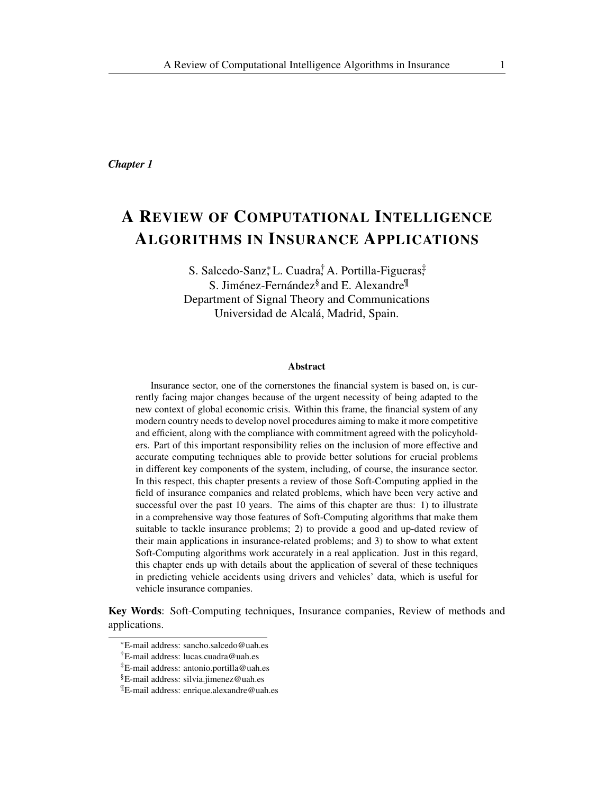*Chapter 1*

# A REVIEW OF COMPUTATIONAL INTELLIGENCE ALGORITHMS IN INSURANCE APPLICATIONS

S. Salcedo-Sanz<sup>\*</sup>, L. Cuadra<sup>†</sup> A. Portilla-Figueras<sup>‡</sup> S. Jiménez-Fernández<sup>§</sup> and E. Alexandre<sup>¶</sup> Department of Signal Theory and Communications Universidad de Alcalá, Madrid, Spain.

#### Abstract

Insurance sector, one of the cornerstones the financial system is based on, is currently facing major changes because of the urgent necessity of being adapted to the new context of global economic crisis. Within this frame, the financial system of any modern country needs to develop novel procedures aiming to make it more competitive and efficient, along with the compliance with commitment agreed with the policyholders. Part of this important responsibility relies on the inclusion of more effective and accurate computing techniques able to provide better solutions for crucial problems in different key components of the system, including, of course, the insurance sector. In this respect, this chapter presents a review of those Soft-Computing applied in the field of insurance companies and related problems, which have been very active and successful over the past 10 years. The aims of this chapter are thus: 1) to illustrate in a comprehensive way those features of Soft-Computing algorithms that make them suitable to tackle insurance problems; 2) to provide a good and up-dated review of their main applications in insurance-related problems; and 3) to show to what extent Soft-Computing algorithms work accurately in a real application. Just in this regard, this chapter ends up with details about the application of several of these techniques in predicting vehicle accidents using drivers and vehicles' data, which is useful for vehicle insurance companies.

Key Words: Soft-Computing techniques, Insurance companies, Review of methods and applications.

*<sup>∗</sup>*E-mail address: sancho.salcedo@uah.es

<sup>†</sup>E-mail address: lucas.cuadra@uah.es

<sup>‡</sup>E-mail address: antonio.portilla@uah.es

<sup>§</sup>E-mail address: silvia.jimenez@uah.es

<sup>¶</sup>E-mail address: enrique.alexandre@uah.es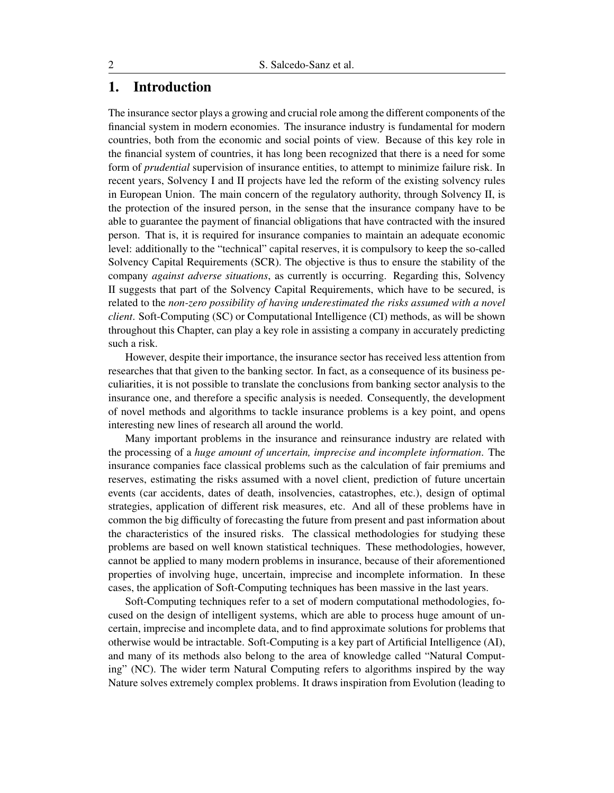# 1. Introduction

The insurance sector plays a growing and crucial role among the different components of the financial system in modern economies. The insurance industry is fundamental for modern countries, both from the economic and social points of view. Because of this key role in the financial system of countries, it has long been recognized that there is a need for some form of *prudential* supervision of insurance entities, to attempt to minimize failure risk. In recent years, Solvency I and II projects have led the reform of the existing solvency rules in European Union. The main concern of the regulatory authority, through Solvency II, is the protection of the insured person, in the sense that the insurance company have to be able to guarantee the payment of financial obligations that have contracted with the insured person. That is, it is required for insurance companies to maintain an adequate economic level: additionally to the "technical" capital reserves, it is compulsory to keep the so-called Solvency Capital Requirements (SCR). The objective is thus to ensure the stability of the company *against adverse situations*, as currently is occurring. Regarding this, Solvency II suggests that part of the Solvency Capital Requirements, which have to be secured, is related to the *non-zero possibility of having underestimated the risks assumed with a novel client*. Soft-Computing (SC) or Computational Intelligence (CI) methods, as will be shown throughout this Chapter, can play a key role in assisting a company in accurately predicting such a risk.

However, despite their importance, the insurance sector has received less attention from researches that that given to the banking sector. In fact, as a consequence of its business peculiarities, it is not possible to translate the conclusions from banking sector analysis to the insurance one, and therefore a specific analysis is needed. Consequently, the development of novel methods and algorithms to tackle insurance problems is a key point, and opens interesting new lines of research all around the world.

Many important problems in the insurance and reinsurance industry are related with the processing of a *huge amount of uncertain, imprecise and incomplete information*. The insurance companies face classical problems such as the calculation of fair premiums and reserves, estimating the risks assumed with a novel client, prediction of future uncertain events (car accidents, dates of death, insolvencies, catastrophes, etc.), design of optimal strategies, application of different risk measures, etc. And all of these problems have in common the big difficulty of forecasting the future from present and past information about the characteristics of the insured risks. The classical methodologies for studying these problems are based on well known statistical techniques. These methodologies, however, cannot be applied to many modern problems in insurance, because of their aforementioned properties of involving huge, uncertain, imprecise and incomplete information. In these cases, the application of Soft-Computing techniques has been massive in the last years.

Soft-Computing techniques refer to a set of modern computational methodologies, focused on the design of intelligent systems, which are able to process huge amount of uncertain, imprecise and incomplete data, and to find approximate solutions for problems that otherwise would be intractable. Soft-Computing is a key part of Artificial Intelligence (AI), and many of its methods also belong to the area of knowledge called "Natural Computing" (NC). The wider term Natural Computing refers to algorithms inspired by the way Nature solves extremely complex problems. It draws inspiration from Evolution (leading to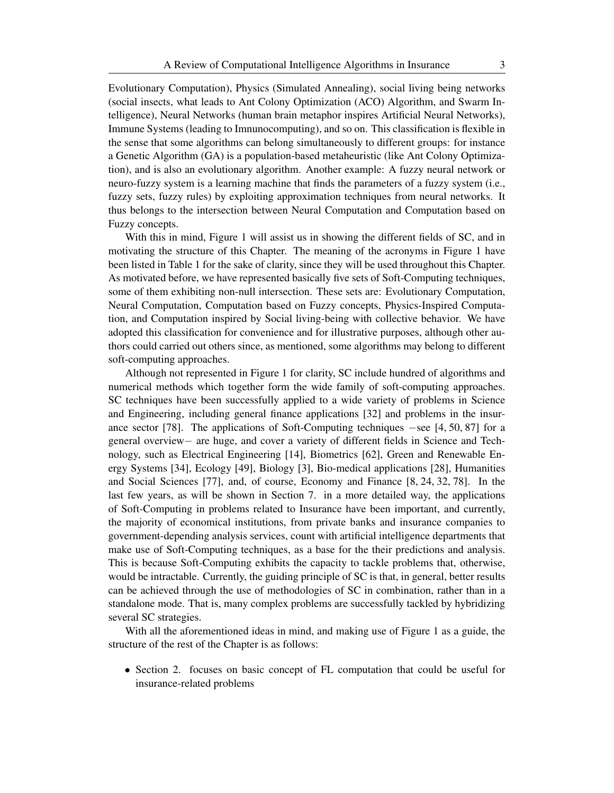Evolutionary Computation), Physics (Simulated Annealing), social living being networks (social insects, what leads to Ant Colony Optimization (ACO) Algorithm, and Swarm Intelligence), Neural Networks (human brain metaphor inspires Artificial Neural Networks), Immune Systems (leading to Imnunocomputing), and so on. This classification is flexible in the sense that some algorithms can belong simultaneously to different groups: for instance a Genetic Algorithm (GA) is a population-based metaheuristic (like Ant Colony Optimization), and is also an evolutionary algorithm. Another example: A fuzzy neural network or neuro-fuzzy system is a learning machine that finds the parameters of a fuzzy system (i.e., fuzzy sets, fuzzy rules) by exploiting approximation techniques from neural networks. It thus belongs to the intersection between Neural Computation and Computation based on Fuzzy concepts.

With this in mind, Figure 1 will assist us in showing the different fields of SC, and in motivating the structure of this Chapter. The meaning of the acronyms in Figure 1 have been listed in Table 1 for the sake of clarity, since they will be used throughout this Chapter. As motivated before, we have represented basically five sets of Soft-Computing techniques, some of them exhibiting non-null intersection. These sets are: Evolutionary Computation, Neural Computation, Computation based on Fuzzy concepts, Physics-Inspired Computation, and Computation inspired by Social living-being with collective behavior. We have adopted this classification for convenience and for illustrative purposes, although other authors could carried out others since, as mentioned, some algorithms may belong to different soft-computing approaches.

Although not represented in Figure 1 for clarity, SC include hundred of algorithms and numerical methods which together form the wide family of soft-computing approaches. SC techniques have been successfully applied to a wide variety of problems in Science and Engineering, including general finance applications [32] and problems in the insurance sector [78]. The applications of Soft-Computing techniques *−*see [4, 50, 87] for a general overview*−* are huge, and cover a variety of different fields in Science and Technology, such as Electrical Engineering [14], Biometrics [62], Green and Renewable Energy Systems [34], Ecology [49], Biology [3], Bio-medical applications [28], Humanities and Social Sciences [77], and, of course, Economy and Finance [8, 24, 32, 78]. In the last few years, as will be shown in Section 7. in a more detailed way, the applications of Soft-Computing in problems related to Insurance have been important, and currently, the majority of economical institutions, from private banks and insurance companies to government-depending analysis services, count with artificial intelligence departments that make use of Soft-Computing techniques, as a base for the their predictions and analysis. This is because Soft-Computing exhibits the capacity to tackle problems that, otherwise, would be intractable. Currently, the guiding principle of SC is that, in general, better results can be achieved through the use of methodologies of SC in combination, rather than in a standalone mode. That is, many complex problems are successfully tackled by hybridizing several SC strategies.

With all the aforementioned ideas in mind, and making use of Figure 1 as a guide, the structure of the rest of the Chapter is as follows:

• Section 2. focuses on basic concept of FL computation that could be useful for insurance-related problems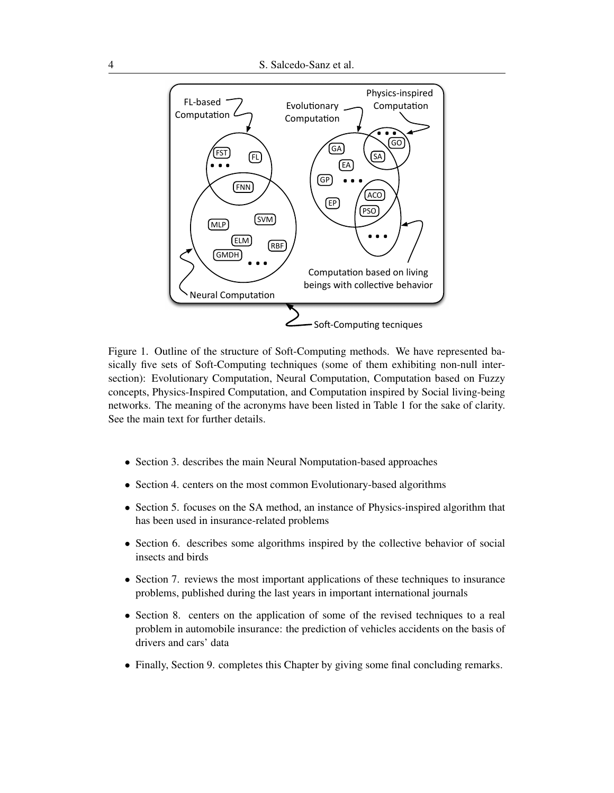

Figure 1. Outline of the structure of Soft-Computing methods. We have represented basically five sets of Soft-Computing techniques (some of them exhibiting non-null intersection): Evolutionary Computation, Neural Computation, Computation based on Fuzzy concepts, Physics-Inspired Computation, and Computation inspired by Social living-being networks. The meaning of the acronyms have been listed in Table 1 for the sake of clarity. See the main text for further details.

- Section 3. describes the main Neural Nomputation-based approaches
- *•* Section 4. centers on the most common Evolutionary-based algorithms
- *•* Section 5. focuses on the SA method, an instance of Physics-inspired algorithm that has been used in insurance-related problems
- Section 6. describes some algorithms inspired by the collective behavior of social insects and birds
- Section 7. reviews the most important applications of these techniques to insurance problems, published during the last years in important international journals
- Section 8. centers on the application of some of the revised techniques to a real problem in automobile insurance: the prediction of vehicles accidents on the basis of drivers and cars' data
- Finally, Section 9. completes this Chapter by giving some final concluding remarks.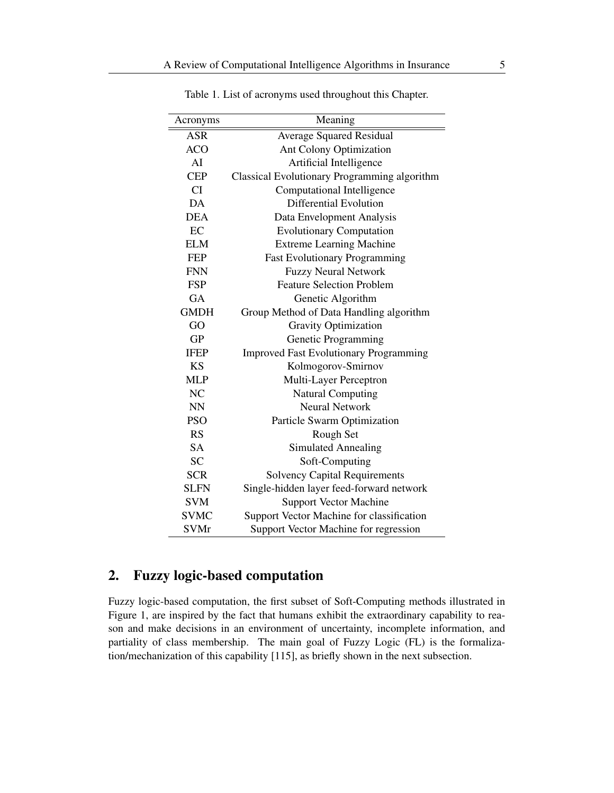| Acronyms       | Meaning                                       |
|----------------|-----------------------------------------------|
| <b>ASR</b>     | <b>Average Squared Residual</b>               |
| <b>ACO</b>     | Ant Colony Optimization                       |
| AI             | Artificial Intelligence                       |
| <b>CEP</b>     | Classical Evolutionary Programming algorithm  |
| CI             | Computational Intelligence                    |
| DA             | <b>Differential Evolution</b>                 |
| <b>DEA</b>     | Data Envelopment Analysis                     |
| EC             | <b>Evolutionary Computation</b>               |
| <b>ELM</b>     | <b>Extreme Learning Machine</b>               |
| <b>FEP</b>     | <b>Fast Evolutionary Programming</b>          |
| <b>FNN</b>     | <b>Fuzzy Neural Network</b>                   |
| <b>FSP</b>     | <b>Feature Selection Problem</b>              |
| <b>GA</b>      | Genetic Algorithm                             |
| <b>GMDH</b>    | Group Method of Data Handling algorithm       |
| GO             | <b>Gravity Optimization</b>                   |
| <b>GP</b>      | Genetic Programming                           |
| <b>IFEP</b>    | <b>Improved Fast Evolutionary Programming</b> |
| <b>KS</b>      | Kolmogorov-Smirnov                            |
| <b>MLP</b>     | Multi-Layer Perceptron                        |
| N <sub>C</sub> | <b>Natural Computing</b>                      |
| <b>NN</b>      | <b>Neural Network</b>                         |
| <b>PSO</b>     | Particle Swarm Optimization                   |
| RS             | Rough Set                                     |
| <b>SA</b>      | <b>Simulated Annealing</b>                    |
| <b>SC</b>      | Soft-Computing                                |
| <b>SCR</b>     | <b>Solvency Capital Requirements</b>          |
| <b>SLFN</b>    | Single-hidden layer feed-forward network      |
| <b>SVM</b>     | <b>Support Vector Machine</b>                 |
| <b>SVMC</b>    | Support Vector Machine for classification     |
| <b>SVMr</b>    | Support Vector Machine for regression         |

Table 1. List of acronyms used throughout this Chapter.

# 2. Fuzzy logic-based computation

 $\overline{a}$ 

Fuzzy logic-based computation, the first subset of Soft-Computing methods illustrated in Figure 1, are inspired by the fact that humans exhibit the extraordinary capability to reason and make decisions in an environment of uncertainty, incomplete information, and partiality of class membership. The main goal of Fuzzy Logic (FL) is the formalization/mechanization of this capability [115], as briefly shown in the next subsection.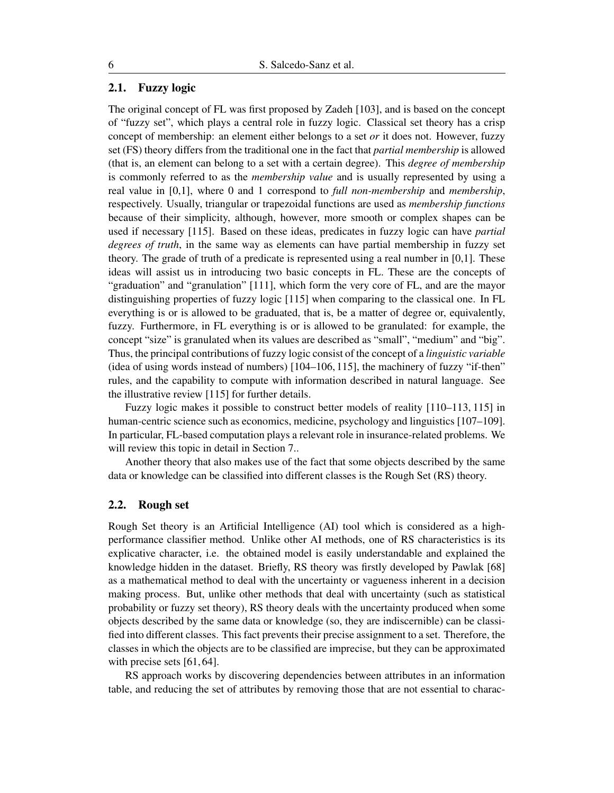# 2.1. Fuzzy logic

The original concept of FL was first proposed by Zadeh [103], and is based on the concept of "fuzzy set", which plays a central role in fuzzy logic. Classical set theory has a crisp concept of membership: an element either belongs to a set *or* it does not. However, fuzzy set (FS) theory differs from the traditional one in the fact that *partial membership* is allowed (that is, an element can belong to a set with a certain degree). This *degree of membership* is commonly referred to as the *membership value* and is usually represented by using a real value in [0,1], where 0 and 1 correspond to *full non-membership* and *membership*, respectively. Usually, triangular or trapezoidal functions are used as *membership functions* because of their simplicity, although, however, more smooth or complex shapes can be used if necessary [115]. Based on these ideas, predicates in fuzzy logic can have *partial degrees of truth*, in the same way as elements can have partial membership in fuzzy set theory. The grade of truth of a predicate is represented using a real number in [0,1]. These ideas will assist us in introducing two basic concepts in FL. These are the concepts of "graduation" and "granulation" [111], which form the very core of FL, and are the mayor distinguishing properties of fuzzy logic [115] when comparing to the classical one. In FL everything is or is allowed to be graduated, that is, be a matter of degree or, equivalently, fuzzy. Furthermore, in FL everything is or is allowed to be granulated: for example, the concept "size" is granulated when its values are described as "small", "medium" and "big". Thus, the principal contributions of fuzzy logic consist of the concept of a *linguistic variable* (idea of using words instead of numbers) [104–106, 115], the machinery of fuzzy "if-then" rules, and the capability to compute with information described in natural language. See the illustrative review [115] for further details.

Fuzzy logic makes it possible to construct better models of reality [110–113, 115] in human-centric science such as economics, medicine, psychology and linguistics [107–109]. In particular, FL-based computation plays a relevant role in insurance-related problems. We will review this topic in detail in Section 7..

Another theory that also makes use of the fact that some objects described by the same data or knowledge can be classified into different classes is the Rough Set (RS) theory.

#### 2.2. Rough set

Rough Set theory is an Artificial Intelligence (AI) tool which is considered as a highperformance classifier method. Unlike other AI methods, one of RS characteristics is its explicative character, i.e. the obtained model is easily understandable and explained the knowledge hidden in the dataset. Briefly, RS theory was firstly developed by Pawlak [68] as a mathematical method to deal with the uncertainty or vagueness inherent in a decision making process. But, unlike other methods that deal with uncertainty (such as statistical probability or fuzzy set theory), RS theory deals with the uncertainty produced when some objects described by the same data or knowledge (so, they are indiscernible) can be classified into different classes. This fact prevents their precise assignment to a set. Therefore, the classes in which the objects are to be classified are imprecise, but they can be approximated with precise sets [61, 64].

RS approach works by discovering dependencies between attributes in an information table, and reducing the set of attributes by removing those that are not essential to charac-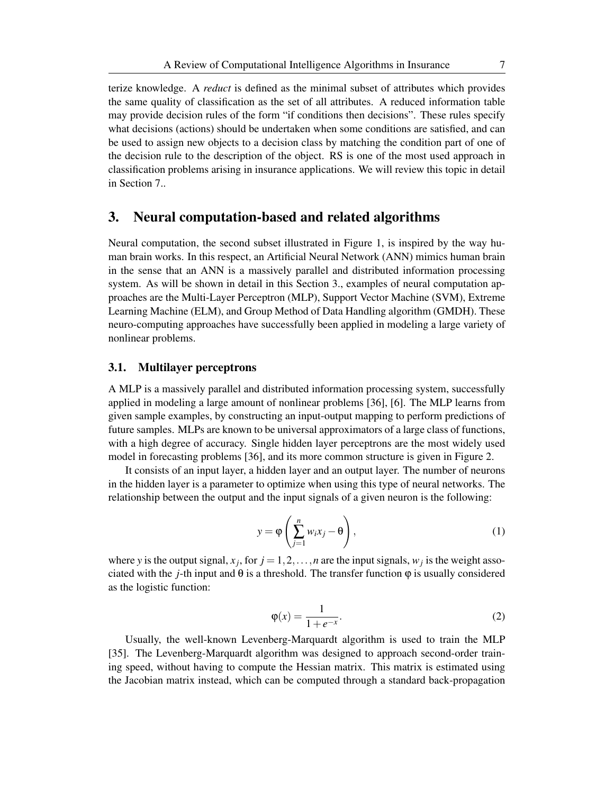terize knowledge. A *reduct* is defined as the minimal subset of attributes which provides the same quality of classification as the set of all attributes. A reduced information table may provide decision rules of the form "if conditions then decisions". These rules specify what decisions (actions) should be undertaken when some conditions are satisfied, and can be used to assign new objects to a decision class by matching the condition part of one of the decision rule to the description of the object. RS is one of the most used approach in classification problems arising in insurance applications. We will review this topic in detail in Section 7..

# 3. Neural computation-based and related algorithms

Neural computation, the second subset illustrated in Figure 1, is inspired by the way human brain works. In this respect, an Artificial Neural Network (ANN) mimics human brain in the sense that an ANN is a massively parallel and distributed information processing system. As will be shown in detail in this Section 3., examples of neural computation approaches are the Multi-Layer Perceptron (MLP), Support Vector Machine (SVM), Extreme Learning Machine (ELM), and Group Method of Data Handling algorithm (GMDH). These neuro-computing approaches have successfully been applied in modeling a large variety of nonlinear problems.

### 3.1. Multilayer perceptrons

A MLP is a massively parallel and distributed information processing system, successfully applied in modeling a large amount of nonlinear problems [36], [6]. The MLP learns from given sample examples, by constructing an input-output mapping to perform predictions of future samples. MLPs are known to be universal approximators of a large class of functions, with a high degree of accuracy. Single hidden layer perceptrons are the most widely used model in forecasting problems [36], and its more common structure is given in Figure 2.

It consists of an input layer, a hidden layer and an output layer. The number of neurons in the hidden layer is a parameter to optimize when using this type of neural networks. The relationship between the output and the input signals of a given neuron is the following:

$$
y = \varphi \left( \sum_{j=1}^{n} w_i x_j - \theta \right), \tag{1}
$$

where *y* is the output signal,  $x_j$ , for  $j = 1, 2, \ldots, n$  are the input signals,  $w_j$  is the weight associated with the *j*-th input and  $\theta$  is a threshold. The transfer function  $\varphi$  is usually considered as the logistic function:

$$
\varphi(x) = \frac{1}{1 + e^{-x}}.\tag{2}
$$

Usually, the well-known Levenberg-Marquardt algorithm is used to train the MLP [35]. The Levenberg-Marquardt algorithm was designed to approach second-order training speed, without having to compute the Hessian matrix. This matrix is estimated using the Jacobian matrix instead, which can be computed through a standard back-propagation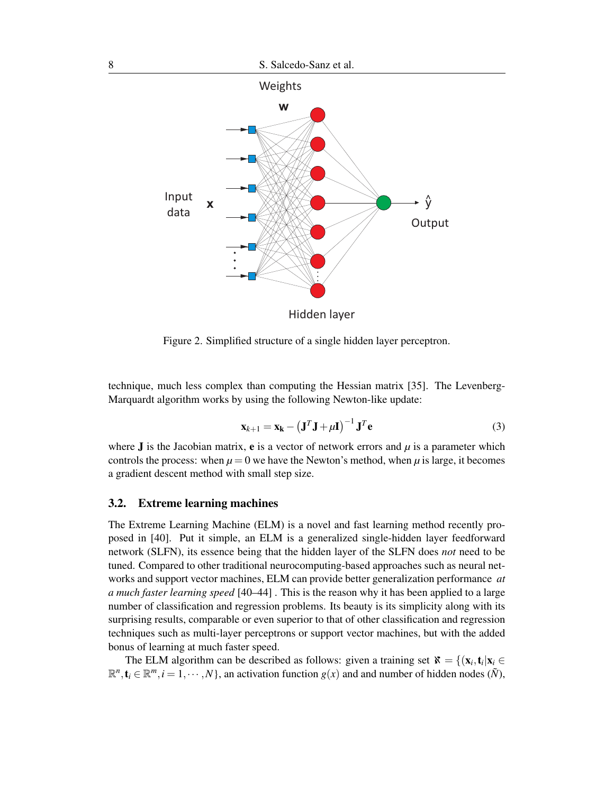

Figure 2. Simplified structure of a single hidden layer perceptron.

technique, much less complex than computing the Hessian matrix [35]. The Levenberg-Marquardt algorithm works by using the following Newton-like update:

$$
\mathbf{x}_{k+1} = \mathbf{x}_{k} - \left(\mathbf{J}^{T}\mathbf{J} + \mu\mathbf{I}\right)^{-1}\mathbf{J}^{T}\mathbf{e}
$$
 (3)

where **J** is the Jacobian matrix, **e** is a vector of network errors and  $\mu$  is a parameter which controls the process: when  $\mu = 0$  we have the Newton's method, when  $\mu$  is large, it becomes a gradient descent method with small step size.

### 3.2. Extreme learning machines

The Extreme Learning Machine (ELM) is a novel and fast learning method recently proposed in [40]. Put it simple, an ELM is a generalized single-hidden layer feedforward network (SLFN), its essence being that the hidden layer of the SLFN does *not* need to be tuned. Compared to other traditional neurocomputing-based approaches such as neural networks and support vector machines, ELM can provide better generalization performance *at a much faster learning speed* [40–44] . This is the reason why it has been applied to a large number of classification and regression problems. Its beauty is its simplicity along with its surprising results, comparable or even superior to that of other classification and regression techniques such as multi-layer perceptrons or support vector machines, but with the added bonus of learning at much faster speed.

The ELM algorithm can be described as follows: given a training set  $\mathbf{x} = \{(\mathbf{x}_i, \mathbf{t}_i | \mathbf{x}_i \in \mathbb{R}^d\})$  $\mathbb{R}^n$ ,  $\mathbf{t}_i \in \mathbb{R}^m$ ,  $i = 1, \dots, N$ , an activation function  $g(x)$  and and number of hidden nodes  $(\tilde{N})$ ,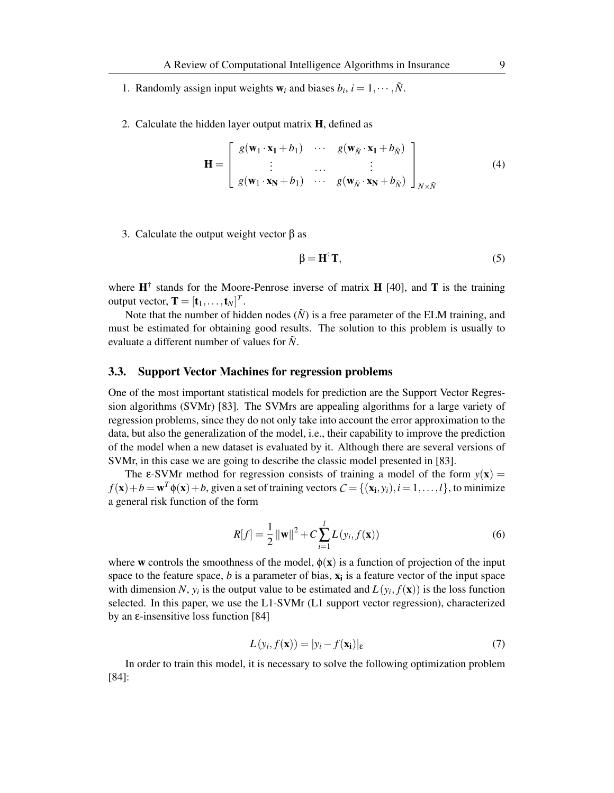- 1. Randomly assign input weights  $w_i$  and biases  $b_i$ ,  $i = 1, \dots, \tilde{N}$ .
- 2. Calculate the hidden layer output matrix H, defined as

$$
\mathbf{H} = \begin{bmatrix} g(\mathbf{w}_1 \cdot \mathbf{x}_1 + b_1) & \cdots & g(\mathbf{w}_{\tilde{N}} \cdot \mathbf{x}_1 + b_{\tilde{N}}) \\ \vdots & \cdots & \vdots \\ g(\mathbf{w}_1 \cdot \mathbf{x}_N + b_1) & \cdots & g(\mathbf{w}_{\tilde{N}} \cdot \mathbf{x}_N + b_{\tilde{N}}) \end{bmatrix}_{N \times \tilde{N}}
$$
(4)

3. Calculate the output weight vector β as

$$
\beta = \mathbf{H}^{\dagger} \mathbf{T},\tag{5}
$$

where  $\mathbf{H}^{\dagger}$  stands for the Moore-Penrose inverse of matrix **H** [40], and **T** is the training output vector,  $\mathbf{T} = [\mathbf{t}_1, \dots, \mathbf{t}_N]^T$ .

Note that the number of hidden nodes  $(N)$  is a free parameter of the ELM training, and must be estimated for obtaining good results. The solution to this problem is usually to evaluate a different number of values for  $\tilde{N}$ .

## 3.3. Support Vector Machines for regression problems

One of the most important statistical models for prediction are the Support Vector Regression algorithms (SVMr) [83]. The SVMrs are appealing algorithms for a large variety of regression problems, since they do not only take into account the error approximation to the data, but also the generalization of the model, i.e., their capability to improve the prediction of the model when a new dataset is evaluated by it. Although there are several versions of SVMr, in this case we are going to describe the classic model presented in [83].

The  $\varepsilon$ -SVMr method for regression consists of training a model of the form  $y(x)$  =  $f(\mathbf{x}) + b = \mathbf{w}^T \phi(\mathbf{x}) + b$ , given a set of training vectors  $C = \{(\mathbf{x_i}, y_i), i = 1, ..., l\}$ , to minimize a general risk function of the form

$$
R[f] = \frac{1}{2} ||\mathbf{w}||^2 + C \sum_{i=1}^{l} L(y_i, f(\mathbf{x}))
$$
\n(6)

where w controls the smoothness of the model,  $\phi(x)$  is a function of projection of the input space to the feature space,  $b$  is a parameter of bias,  $\mathbf{x}_i$  is a feature vector of the input space with dimension *N*,  $y_i$  is the output value to be estimated and  $L(y_i, f(\mathbf{x}))$  is the loss function selected. In this paper, we use the L1-SVMr (L1 support vector regression), characterized by an ε-insensitive loss function [84]

$$
L(y_i, f(\mathbf{x})) = |y_i - f(\mathbf{x_i})|_{\varepsilon}
$$
\n(7)

In order to train this model, it is necessary to solve the following optimization problem [84]: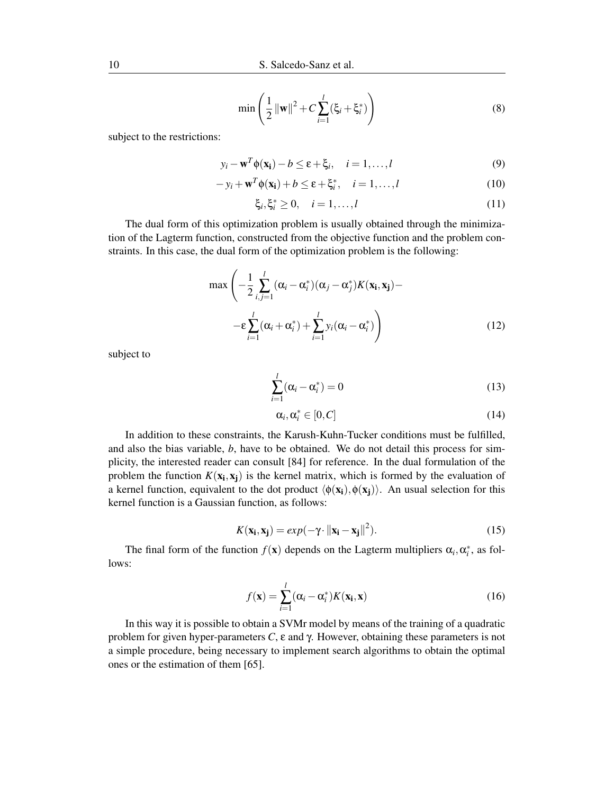$$
\min\left(\frac{1}{2}||\mathbf{w}||^2 + C\sum_{i=1}^{l}(\xi_i + \xi_i^*)\right)
$$
(8)

subject to the restrictions:

$$
y_i - \mathbf{w}^T \phi(\mathbf{x_i}) - b \le \varepsilon + \xi_i, \quad i = 1, ..., l
$$
 (9)

$$
-y_i + \mathbf{w}^T \phi(\mathbf{x_i}) + b \le \varepsilon + \xi_i^*, \quad i = 1, \dots, l
$$
 (10)

$$
\xi_i, \xi_i^* \geq 0, \quad i = 1, ..., l
$$
\n(11)

The dual form of this optimization problem is usually obtained through the minimization of the Lagterm function, constructed from the objective function and the problem constraints. In this case, the dual form of the optimization problem is the following:

$$
\max\left(-\frac{1}{2}\sum_{i,j=1}^{l}(\alpha_i-\alpha_i^*)(\alpha_j-\alpha_j^*)K(\mathbf{x_i},\mathbf{x_j})-\right.\left.-\epsilon\sum_{i=1}^{l}(\alpha_i+\alpha_i^*)+\sum_{i=1}^{l}y_i(\alpha_i-\alpha_i^*)\right)
$$
\n(12)

subject to

$$
\sum_{i=1}^{l} (\alpha_i - \alpha_i^*) = 0
$$
\n(13)

$$
\alpha_i, \alpha_i^* \in [0, C] \tag{14}
$$

In addition to these constraints, the Karush-Kuhn-Tucker conditions must be fulfilled, and also the bias variable, *b*, have to be obtained. We do not detail this process for simplicity, the interested reader can consult [84] for reference. In the dual formulation of the problem the function  $K(\mathbf{x_i}, \mathbf{x_j})$  is the kernel matrix, which is formed by the evaluation of a kernel function, equivalent to the dot product  $\langle \phi(x_i), \phi(x_i) \rangle$ . An usual selection for this kernel function is a Gaussian function, as follows:

$$
K(\mathbf{x_i}, \mathbf{x_j}) = exp(-\gamma \cdot ||\mathbf{x_i} - \mathbf{x_j}||^2). \tag{15}
$$

The final form of the function  $f(\mathbf{x})$  depends on the Lagterm multipliers  $\alpha_i, \alpha_i^*$ , as follows:

$$
f(\mathbf{x}) = \sum_{i=1}^{l} (\alpha_i - \alpha_i^*) K(\mathbf{x_i}, \mathbf{x})
$$
 (16)

In this way it is possible to obtain a SVMr model by means of the training of a quadratic problem for given hyper-parameters *C*, ε and γ. However, obtaining these parameters is not a simple procedure, being necessary to implement search algorithms to obtain the optimal ones or the estimation of them [65].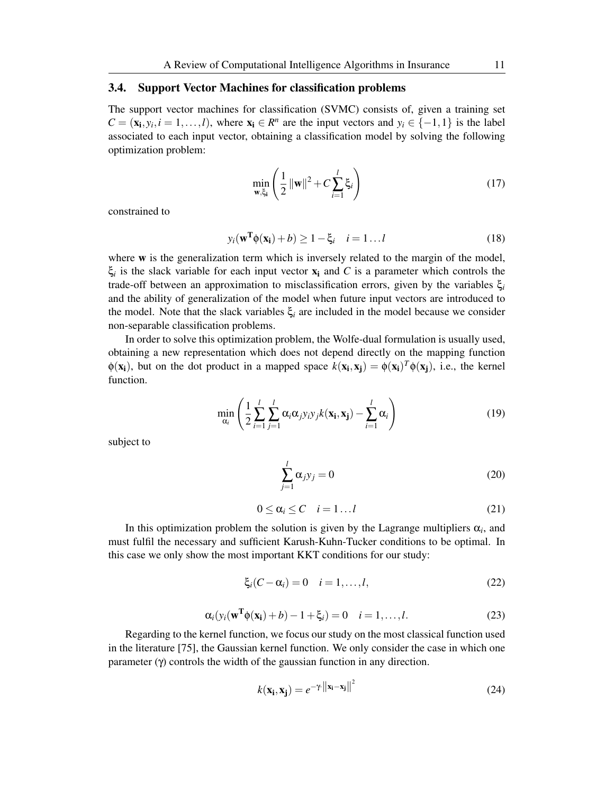### 3.4. Support Vector Machines for classification problems

The support vector machines for classification (SVMC) consists of, given a training set  $C = (\mathbf{x_i}, y_i, i = 1, \ldots, l)$ , where  $\mathbf{x_i} \in R^n$  are the input vectors and  $y_i \in \{-1, 1\}$  is the label associated to each input vector, obtaining a classification model by solving the following optimization problem:

$$
\min_{\mathbf{w}, \xi_i} \left( \frac{1}{2} \left\| \mathbf{w} \right\|^2 + C \sum_{i=1}^l \xi_i \right) \tag{17}
$$

constrained to

$$
y_i(\mathbf{w}^{\mathrm{T}} \phi(\mathbf{x}_i) + b) \ge 1 - \xi_i \quad i = 1...l
$$
 (18)

where **w** is the generalization term which is inversely related to the margin of the model,  $\xi_i$  is the slack variable for each input vector  $x_i$  and *C* is a parameter which controls the trade-off between an approximation to misclassification errors, given by the variables ξ*<sup>i</sup>* and the ability of generalization of the model when future input vectors are introduced to the model. Note that the slack variables  $\xi$ <sub>*i*</sub> are included in the model because we consider non-separable classification problems.

In order to solve this optimization problem, the Wolfe-dual formulation is usually used, obtaining a new representation which does not depend directly on the mapping function  $\phi(\mathbf{x_i})$ , but on the dot product in a mapped space  $k(\mathbf{x_i}, \mathbf{x_j}) = \phi(\mathbf{x_i})^T \phi(\mathbf{x_j})$ , i.e., the kernel function.

$$
\min_{\alpha_i} \left( \frac{1}{2} \sum_{i=1}^l \sum_{j=1}^l \alpha_i \alpha_j y_i y_j k(\mathbf{x_i}, \mathbf{x_j}) - \sum_{i=1}^l \alpha_i \right) \tag{19}
$$

subject to

$$
\sum_{j=1}^{l} \alpha_j y_j = 0 \tag{20}
$$

$$
0 \le \alpha_i \le C \quad i = 1 \dots l \tag{21}
$$

In this optimization problem the solution is given by the Lagrange multipliers  $\alpha_i$ , and must fulfil the necessary and sufficient Karush-Kuhn-Tucker conditions to be optimal. In this case we only show the most important KKT conditions for our study:

$$
\xi_i(C-\alpha_i)=0 \quad i=1,\ldots,l,\tag{22}
$$

$$
\alpha_i(y_i(\mathbf{w}^T\phi(\mathbf{x_i})+b)-1+\xi_i)=0 \quad i=1,\ldots,l. \tag{23}
$$

 $\overline{2}$ 

Regarding to the kernel function, we focus our study on the most classical function used in the literature [75], the Gaussian kernel function. We only consider the case in which one parameter (γ) controls the width of the gaussian function in any direction.

$$
k(\mathbf{x_i}, \mathbf{x_j}) = e^{-\gamma \cdot ||\mathbf{x_i} - \mathbf{x_j}||^2}
$$
 (24)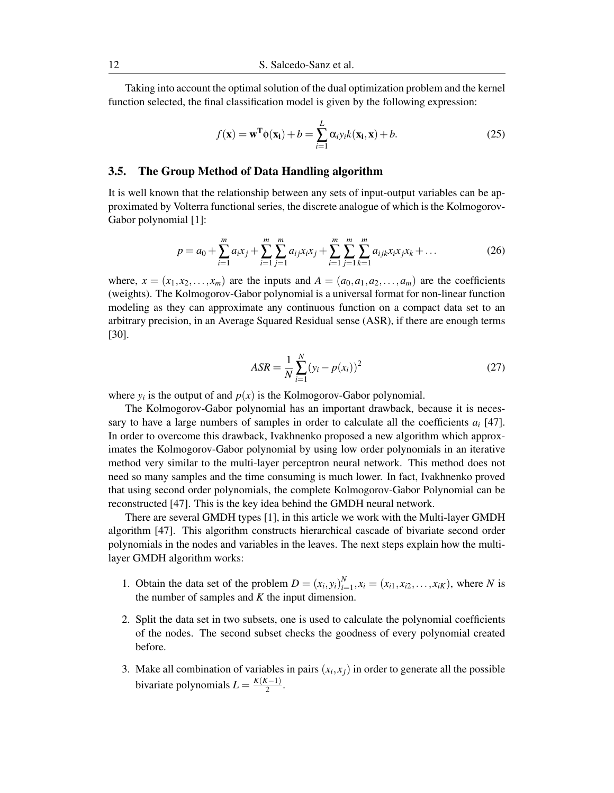Taking into account the optimal solution of the dual optimization problem and the kernel function selected, the final classification model is given by the following expression:

$$
f(\mathbf{x}) = \mathbf{w}^{\mathrm{T}} \phi(\mathbf{x}_i) + b = \sum_{i=1}^{L} \alpha_{i} y_i k(\mathbf{x}_i, \mathbf{x}) + b.
$$
 (25)

### 3.5. The Group Method of Data Handling algorithm

It is well known that the relationship between any sets of input-output variables can be approximated by Volterra functional series, the discrete analogue of which is the Kolmogorov-Gabor polynomial [1]:

$$
p = a_0 + \sum_{i=1}^{m} a_i x_j + \sum_{i=1}^{m} \sum_{j=1}^{m} a_{ij} x_i x_j + \sum_{i=1}^{m} \sum_{j=1}^{m} \sum_{k=1}^{m} a_{ijk} x_i x_j x_k + \dots
$$
 (26)

where,  $x = (x_1, x_2, \ldots, x_m)$  are the inputs and  $A = (a_0, a_1, a_2, \ldots, a_m)$  are the coefficients (weights). The Kolmogorov-Gabor polynomial is a universal format for non-linear function modeling as they can approximate any continuous function on a compact data set to an arbitrary precision, in an Average Squared Residual sense (ASR), if there are enough terms [30].

$$
ASR = \frac{1}{N} \sum_{i=1}^{N} (y_i - p(x_i))^2
$$
 (27)

where  $y_i$  is the output of and  $p(x)$  is the Kolmogorov-Gabor polynomial.

The Kolmogorov-Gabor polynomial has an important drawback, because it is necessary to have a large numbers of samples in order to calculate all the coefficients *a<sup>i</sup>* [47]. In order to overcome this drawback, Ivakhnenko proposed a new algorithm which approximates the Kolmogorov-Gabor polynomial by using low order polynomials in an iterative method very similar to the multi-layer perceptron neural network. This method does not need so many samples and the time consuming is much lower. In fact, Ivakhnenko proved that using second order polynomials, the complete Kolmogorov-Gabor Polynomial can be reconstructed [47]. This is the key idea behind the GMDH neural network.

There are several GMDH types [1], in this article we work with the Multi-layer GMDH algorithm [47]. This algorithm constructs hierarchical cascade of bivariate second order polynomials in the nodes and variables in the leaves. The next steps explain how the multilayer GMDH algorithm works:

- 1. Obtain the data set of the problem  $D = (x_i, y_i)_{i=1}^N$  $\sum_{i=1}^{N}$ ,  $x_i = (x_{i1}, x_{i2}, \dots, x_{iK})$ , where *N* is the number of samples and *K* the input dimension.
- 2. Split the data set in two subsets, one is used to calculate the polynomial coefficients of the nodes. The second subset checks the goodness of every polynomial created before.
- 3. Make all combination of variables in pairs  $(x_i, x_j)$  in order to generate all the possible bivariate polynomials  $L = \frac{K(K-1)}{2}$  $\frac{x-1)}{2}$ .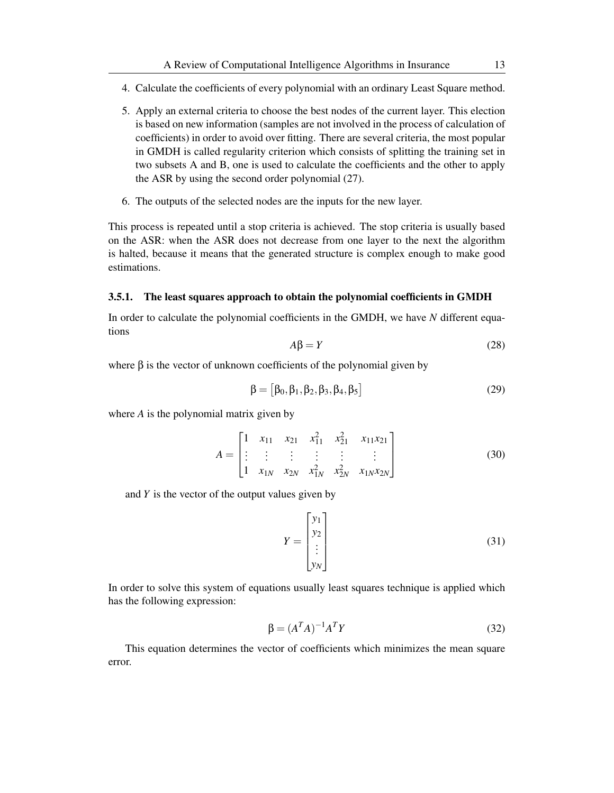- 4. Calculate the coefficients of every polynomial with an ordinary Least Square method.
- 5. Apply an external criteria to choose the best nodes of the current layer. This election is based on new information (samples are not involved in the process of calculation of coefficients) in order to avoid over fitting. There are several criteria, the most popular in GMDH is called regularity criterion which consists of splitting the training set in two subsets A and B, one is used to calculate the coefficients and the other to apply the ASR by using the second order polynomial (27).
- 6. The outputs of the selected nodes are the inputs for the new layer.

This process is repeated until a stop criteria is achieved. The stop criteria is usually based on the ASR: when the ASR does not decrease from one layer to the next the algorithm is halted, because it means that the generated structure is complex enough to make good estimations.

### 3.5.1. The least squares approach to obtain the polynomial coefficients in GMDH

In order to calculate the polynomial coefficients in the GMDH, we have *N* different equations

$$
A\beta = Y \tag{28}
$$

where  $\beta$  is the vector of unknown coefficients of the polynomial given by

$$
\beta = [\beta_0, \beta_1, \beta_2, \beta_3, \beta_4, \beta_5]
$$
\n(29)

where *A* is the polynomial matrix given by

$$
A = \begin{bmatrix} 1 & x_{11} & x_{21} & x_{11}^2 & x_{21}^2 & x_{11}x_{21} \\ \vdots & \vdots & \vdots & \vdots & \vdots & \vdots \\ 1 & x_{1N} & x_{2N} & x_{1N}^2 & x_{2N}^2 & x_{1N}x_{2N} \end{bmatrix}
$$
(30)

and *Y* is the vector of the output values given by

$$
Y = \begin{bmatrix} y_1 \\ y_2 \\ \vdots \\ y_N \end{bmatrix}
$$
 (31)

In order to solve this system of equations usually least squares technique is applied which has the following expression:

$$
\beta = (A^T A)^{-1} A^T Y \tag{32}
$$

This equation determines the vector of coefficients which minimizes the mean square error.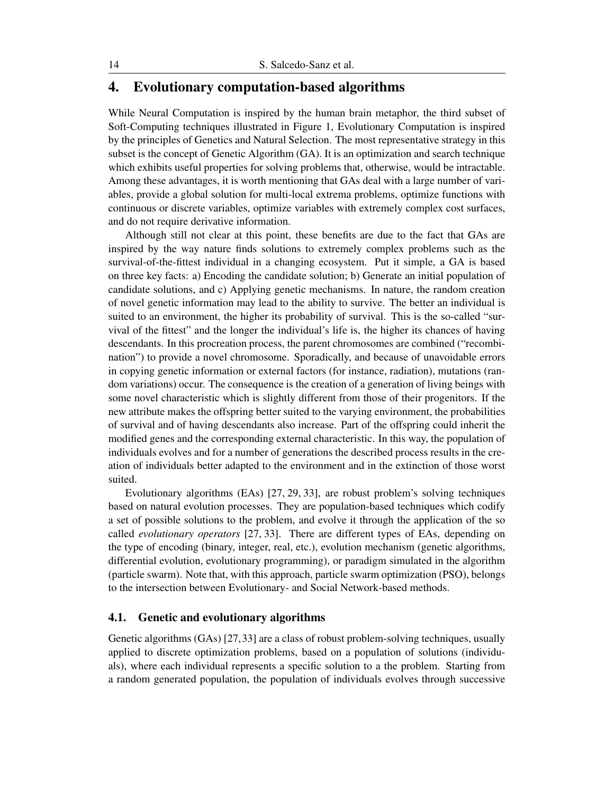# 4. Evolutionary computation-based algorithms

While Neural Computation is inspired by the human brain metaphor, the third subset of Soft-Computing techniques illustrated in Figure 1, Evolutionary Computation is inspired by the principles of Genetics and Natural Selection. The most representative strategy in this subset is the concept of Genetic Algorithm (GA). It is an optimization and search technique which exhibits useful properties for solving problems that, otherwise, would be intractable. Among these advantages, it is worth mentioning that GAs deal with a large number of variables, provide a global solution for multi-local extrema problems, optimize functions with continuous or discrete variables, optimize variables with extremely complex cost surfaces, and do not require derivative information.

Although still not clear at this point, these benefits are due to the fact that GAs are inspired by the way nature finds solutions to extremely complex problems such as the survival-of-the-fittest individual in a changing ecosystem. Put it simple, a GA is based on three key facts: a) Encoding the candidate solution; b) Generate an initial population of candidate solutions, and c) Applying genetic mechanisms. In nature, the random creation of novel genetic information may lead to the ability to survive. The better an individual is suited to an environment, the higher its probability of survival. This is the so-called "survival of the fittest" and the longer the individual's life is, the higher its chances of having descendants. In this procreation process, the parent chromosomes are combined ("recombination") to provide a novel chromosome. Sporadically, and because of unavoidable errors in copying genetic information or external factors (for instance, radiation), mutations (random variations) occur. The consequence is the creation of a generation of living beings with some novel characteristic which is slightly different from those of their progenitors. If the new attribute makes the offspring better suited to the varying environment, the probabilities of survival and of having descendants also increase. Part of the offspring could inherit the modified genes and the corresponding external characteristic. In this way, the population of individuals evolves and for a number of generations the described process results in the creation of individuals better adapted to the environment and in the extinction of those worst suited.

Evolutionary algorithms (EAs) [27, 29, 33], are robust problem's solving techniques based on natural evolution processes. They are population-based techniques which codify a set of possible solutions to the problem, and evolve it through the application of the so called *evolutionary operators* [27, 33]. There are different types of EAs, depending on the type of encoding (binary, integer, real, etc.), evolution mechanism (genetic algorithms, differential evolution, evolutionary programming), or paradigm simulated in the algorithm (particle swarm). Note that, with this approach, particle swarm optimization (PSO), belongs to the intersection between Evolutionary- and Social Network-based methods.

# 4.1. Genetic and evolutionary algorithms

Genetic algorithms (GAs) [27,33] are a class of robust problem-solving techniques, usually applied to discrete optimization problems, based on a population of solutions (individuals), where each individual represents a specific solution to a the problem. Starting from a random generated population, the population of individuals evolves through successive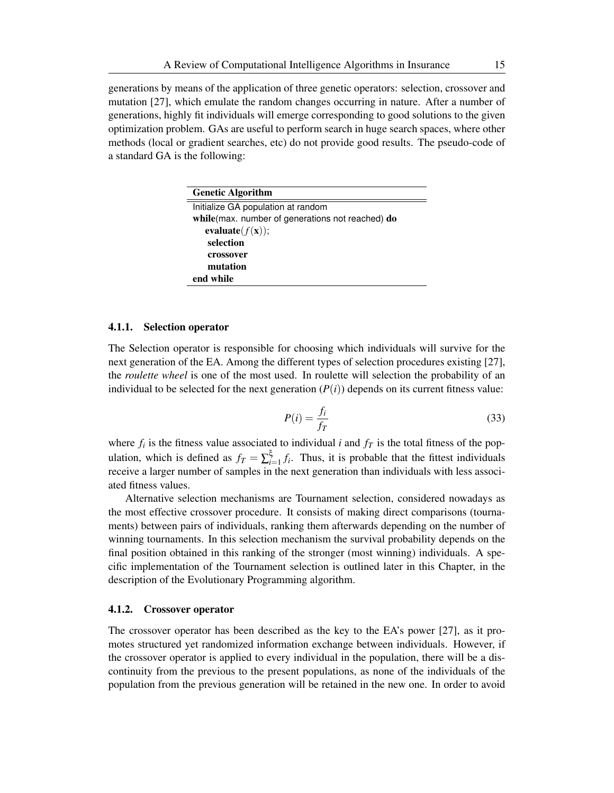generations by means of the application of three genetic operators: selection, crossover and mutation [27], which emulate the random changes occurring in nature. After a number of generations, highly fit individuals will emerge corresponding to good solutions to the given optimization problem. GAs are useful to perform search in huge search spaces, where other methods (local or gradient searches, etc) do not provide good results. The pseudo-code of a standard GA is the following:

| <b>Genetic Algorithm</b>                         |  |  |
|--------------------------------------------------|--|--|
| Initialize GA population at random               |  |  |
| while(max. number of generations not reached) do |  |  |
| evaluate $(f(\mathbf{x}))$ ;                     |  |  |
| selection                                        |  |  |
| crossover                                        |  |  |
| mutation                                         |  |  |
| end while                                        |  |  |

### 4.1.1. Selection operator

The Selection operator is responsible for choosing which individuals will survive for the next generation of the EA. Among the different types of selection procedures existing [27], the *roulette wheel* is one of the most used. In roulette will selection the probability of an individual to be selected for the next generation  $(P(i))$  depends on its current fitness value:

$$
P(i) = \frac{f_i}{f_T} \tag{33}
$$

where  $f_i$  is the fitness value associated to individual *i* and  $f<sub>T</sub>$  is the total fitness of the population, which is defined as  $f_T = \sum_{i=1}^{\xi}$  $\sum_{i=1}^{5} f_i$ . Thus, it is probable that the fittest individuals receive a larger number of samples in the next generation than individuals with less associated fitness values.

Alternative selection mechanisms are Tournament selection, considered nowadays as the most effective crossover procedure. It consists of making direct comparisons (tournaments) between pairs of individuals, ranking them afterwards depending on the number of winning tournaments. In this selection mechanism the survival probability depends on the final position obtained in this ranking of the stronger (most winning) individuals. A specific implementation of the Tournament selection is outlined later in this Chapter, in the description of the Evolutionary Programming algorithm.

#### 4.1.2. Crossover operator

The crossover operator has been described as the key to the EA's power [27], as it promotes structured yet randomized information exchange between individuals. However, if the crossover operator is applied to every individual in the population, there will be a discontinuity from the previous to the present populations, as none of the individuals of the population from the previous generation will be retained in the new one. In order to avoid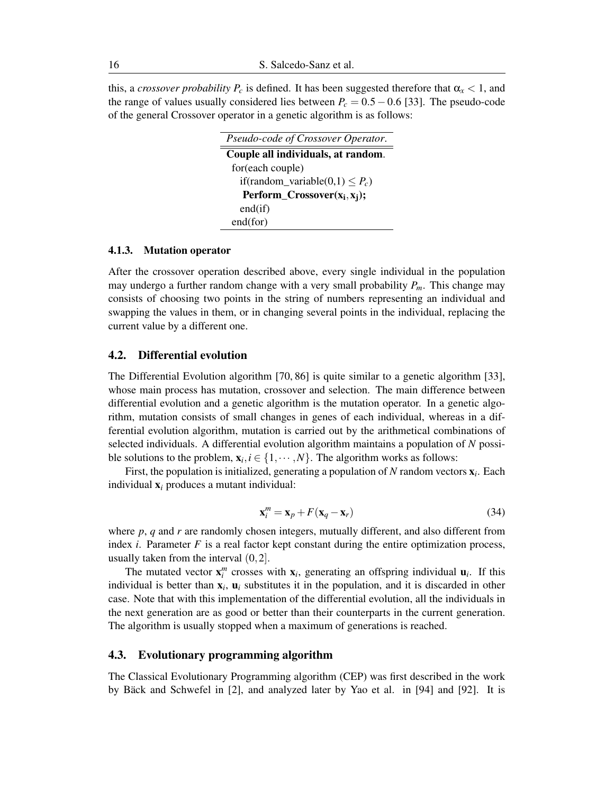this, a *crossover probability*  $P_c$  is defined. It has been suggested therefore that  $\alpha_x < 1$ , and the range of values usually considered lies between  $P_c = 0.5 - 0.6$  [33]. The pseudo-code of the general Crossover operator in a genetic algorithm is as follows:

| Pseudo-code of Crossover Operator.   |  |  |
|--------------------------------------|--|--|
| Couple all individuals, at random.   |  |  |
| for(each couple)                     |  |  |
| if(random_variable(0,1) $\leq P_c$ ) |  |  |
| Perform_Crossover $(x_i, x_i)$ ;     |  |  |
| end(if)                              |  |  |
| end(for)                             |  |  |

#### 4.1.3. Mutation operator

After the crossover operation described above, every single individual in the population may undergo a further random change with a very small probability  $P_m$ . This change may consists of choosing two points in the string of numbers representing an individual and swapping the values in them, or in changing several points in the individual, replacing the current value by a different one.

# 4.2. Differential evolution

The Differential Evolution algorithm [70, 86] is quite similar to a genetic algorithm [33], whose main process has mutation, crossover and selection. The main difference between differential evolution and a genetic algorithm is the mutation operator. In a genetic algorithm, mutation consists of small changes in genes of each individual, whereas in a differential evolution algorithm, mutation is carried out by the arithmetical combinations of selected individuals. A differential evolution algorithm maintains a population of *N* possible solutions to the problem,  $\mathbf{x}_i, i \in \{1, \cdots, N\}$ . The algorithm works as follows:

First, the population is initialized, generating a population of *N* random vectors x*<sup>i</sup>* . Each individual x*<sup>i</sup>* produces a mutant individual:

$$
\mathbf{x}_i^m = \mathbf{x}_p + F(\mathbf{x}_q - \mathbf{x}_r) \tag{34}
$$

where  $p$ ,  $q$  and  $r$  are randomly chosen integers, mutually different, and also different from index  $i$ . Parameter  $F$  is a real factor kept constant during the entire optimization process, usually taken from the interval (0*,*2].

The mutated vector  $\mathbf{x}_i^m$  crosses with  $\mathbf{x}_i$ , generating an offspring individual  $\mathbf{u}_i$ . If this individual is better than  $x_i$ ,  $u_i$  substitutes it in the population, and it is discarded in other case. Note that with this implementation of the differential evolution, all the individuals in the next generation are as good or better than their counterparts in the current generation. The algorithm is usually stopped when a maximum of generations is reached.

#### 4.3. Evolutionary programming algorithm

The Classical Evolutionary Programming algorithm (CEP) was first described in the work by Bäck and Schwefel in [2], and analyzed later by Yao et al. in [94] and [92]. It is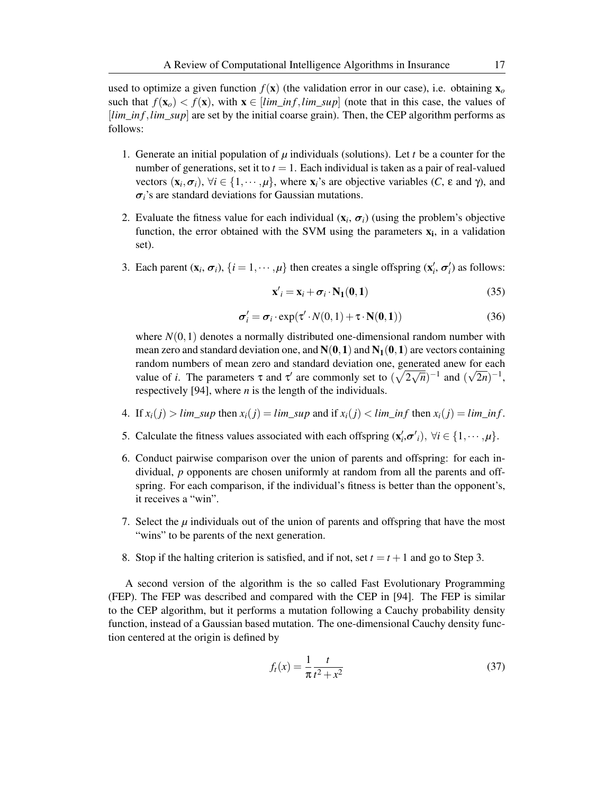used to optimize a given function  $f(\mathbf{x})$  (the validation error in our case), i.e. obtaining  $\mathbf{x}_o$ such that  $f(\mathbf{x}_o) < f(\mathbf{x})$ , with  $\mathbf{x} \in [lim\_inf, lim\_sup]$  (note that in this case, the values of [*lim*\_*in f,lim*\_*sup*] are set by the initial coarse grain). Then, the CEP algorithm performs as follows:

- 1. Generate an initial population of  $\mu$  individuals (solutions). Let  $t$  be a counter for the number of generations, set it to  $t = 1$ . Each individual is taken as a pair of real-valued vectors  $(\mathbf{x}_i, \sigma_i)$ ,  $\forall i \in \{1, \cdots, \mu\}$ , where  $\mathbf{x}_i$ 's are objective variables  $(C, \varepsilon \text{ and } \gamma)$ , and *σi*'s are standard deviations for Gaussian mutations.
- 2. Evaluate the fitness value for each individual  $(x_i, \sigma_i)$  (using the problem's objective function, the error obtained with the SVM using the parameters  $\mathbf{x}_i$ , in a validation set).
- 3. Each parent  $(\mathbf{x}_i, \sigma_i)$ ,  $\{i = 1, \dots, \mu\}$  then creates a single offspring  $(\mathbf{x}'_i, \sigma'_i)$  as follows:

$$
\mathbf{x}'_i = \mathbf{x}_i + \boldsymbol{\sigma}_i \cdot \mathbf{N}_1(\mathbf{0}, \mathbf{1}) \tag{35}
$$

$$
\sigma_i' = \sigma_i \cdot \exp(\tau' \cdot N(0, 1) + \tau \cdot N(0, 1))
$$
\n(36)

where  $N(0,1)$  denotes a normally distributed one-dimensional random number with mean zero and standard deviation one, and  $N(0,1)$  and  $N_1(0,1)$  are vectors containing random numbers of mean zero and standard deviation one, generated anew for each *√* value of *i*. The parameters  $\tau$  and  $\tau'$  are commonly set to  $(\sqrt{2\sqrt{n}})^{-1}$  and  $(\sqrt{2n})^{-1}$ , respectively [94], where *n* is the length of the individuals.

- 4. If  $x_i(j) > \lim_{i \to \infty} \sup$  then  $x_i(j) = \lim_{i \to \infty} \sup$  and if  $x_i(j) < \lim_{i \to \infty} \inf$  then  $x_i(j) = \lim_{i \to \infty} \inf$ .
- 5. Calculate the fitness values associated with each offspring  $(\mathbf{x}'_i, \sigma'_i)$ ,  $\forall i \in \{1, \cdots, \mu\}$ .
- 6. Conduct pairwise comparison over the union of parents and offspring: for each individual, *p* opponents are chosen uniformly at random from all the parents and offspring. For each comparison, if the individual's fitness is better than the opponent's, it receives a "win".
- 7. Select the  $\mu$  individuals out of the union of parents and offspring that have the most "wins" to be parents of the next generation.
- 8. Stop if the halting criterion is satisfied, and if not, set  $t = t + 1$  and go to Step 3.

A second version of the algorithm is the so called Fast Evolutionary Programming (FEP). The FEP was described and compared with the CEP in [94]. The FEP is similar to the CEP algorithm, but it performs a mutation following a Cauchy probability density function, instead of a Gaussian based mutation. The one-dimensional Cauchy density function centered at the origin is defined by

$$
f_t(x) = \frac{1}{\pi} \frac{t}{t^2 + x^2}
$$
 (37)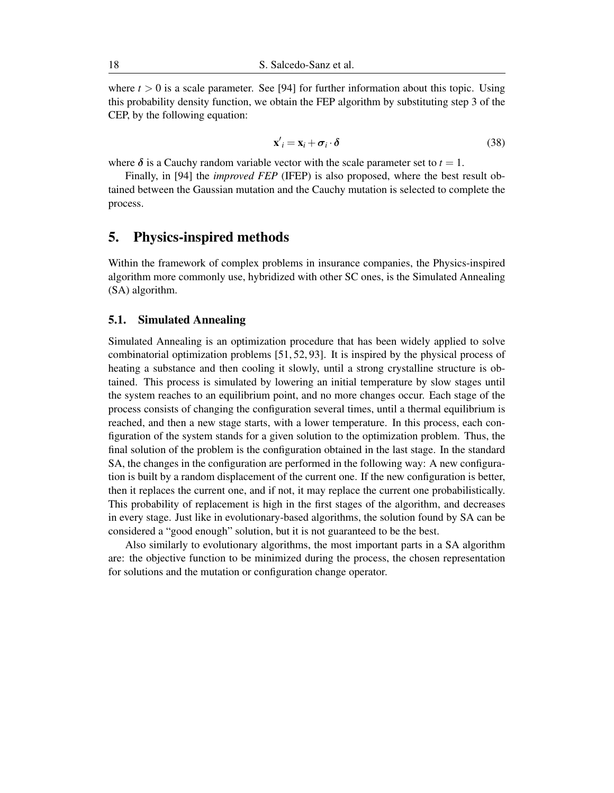where  $t > 0$  is a scale parameter. See [94] for further information about this topic. Using this probability density function, we obtain the FEP algorithm by substituting step 3 of the CEP, by the following equation:

$$
\mathbf{x}'_i = \mathbf{x}_i + \boldsymbol{\sigma}_i \cdot \boldsymbol{\delta} \tag{38}
$$

where  $\delta$  is a Cauchy random variable vector with the scale parameter set to  $t = 1$ .

Finally, in [94] the *improved FEP* (IFEP) is also proposed, where the best result obtained between the Gaussian mutation and the Cauchy mutation is selected to complete the process.

# 5. Physics-inspired methods

Within the framework of complex problems in insurance companies, the Physics-inspired algorithm more commonly use, hybridized with other SC ones, is the Simulated Annealing (SA) algorithm.

### 5.1. Simulated Annealing

Simulated Annealing is an optimization procedure that has been widely applied to solve combinatorial optimization problems [51, 52, 93]. It is inspired by the physical process of heating a substance and then cooling it slowly, until a strong crystalline structure is obtained. This process is simulated by lowering an initial temperature by slow stages until the system reaches to an equilibrium point, and no more changes occur. Each stage of the process consists of changing the configuration several times, until a thermal equilibrium is reached, and then a new stage starts, with a lower temperature. In this process, each configuration of the system stands for a given solution to the optimization problem. Thus, the final solution of the problem is the configuration obtained in the last stage. In the standard SA, the changes in the configuration are performed in the following way: A new configuration is built by a random displacement of the current one. If the new configuration is better, then it replaces the current one, and if not, it may replace the current one probabilistically. This probability of replacement is high in the first stages of the algorithm, and decreases in every stage. Just like in evolutionary-based algorithms, the solution found by SA can be considered a "good enough" solution, but it is not guaranteed to be the best.

Also similarly to evolutionary algorithms, the most important parts in a SA algorithm are: the objective function to be minimized during the process, the chosen representation for solutions and the mutation or configuration change operator.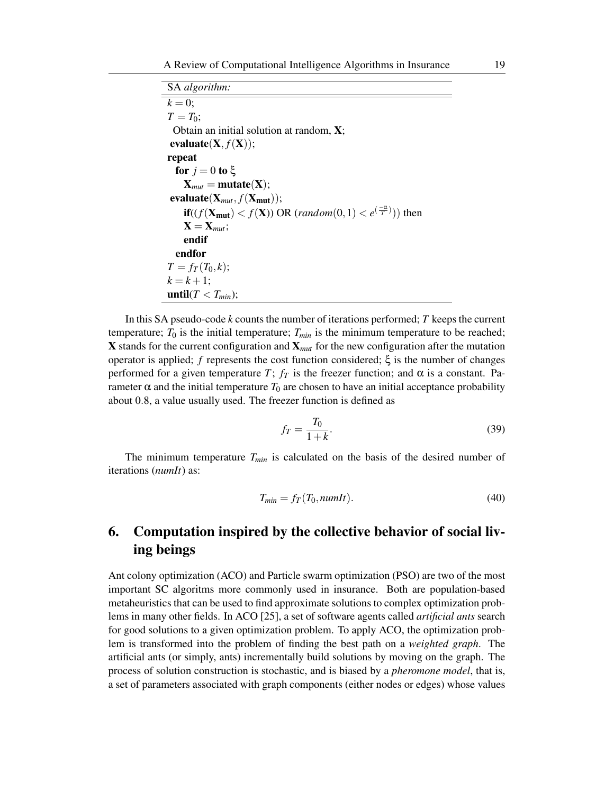SA *algorithm:*  $k = 0$ :  $T = T_0$ ; Obtain an initial solution at random, X;  $evaluate(X, f(X));$ repeat for  $j = 0$  to  $\xi$  $X_{mut} = mutate(X);$  $evaluate(X_{mut}, f(X_{mut}))$ ; **if**(( $f(\mathbf{X}_{\text{mut}}) < f(\mathbf{X})$ ) OR (*random*(0,1)  $< e^{(\frac{-\alpha}{T})}$ )) then  $X = X_{mut};$ endif endfor  $T = f_T(T_0, k);$  $k = k + 1$ ; until( $T < T_{min}$ );

In this SA pseudo-code *k* counts the number of iterations performed; *T* keeps the current temperature;  $T_0$  is the initial temperature;  $T_{min}$  is the minimum temperature to be reached; X stands for the current configuration and X*mut* for the new configuration after the mutation operator is applied; *f* represents the cost function considered;  $ξ$  is the number of changes performed for a given temperature *T*;  $f_T$  is the freezer function; and α is a constant. Parameter  $\alpha$  and the initial temperature  $T_0$  are chosen to have an initial acceptance probability about 0*.*8, a value usually used. The freezer function is defined as

$$
f_T = \frac{T_0}{1+k}.\tag{39}
$$

The minimum temperature *Tmin* is calculated on the basis of the desired number of iterations (*numIt*) as:

$$
T_{min} = f_T(T_0, numIt). \tag{40}
$$

# 6. Computation inspired by the collective behavior of social living beings

Ant colony optimization (ACO) and Particle swarm optimization (PSO) are two of the most important SC algoritms more commonly used in insurance. Both are population-based metaheuristics that can be used to find approximate solutions to complex optimization problems in many other fields. In ACO [25], a set of software agents called *artificial ants* search for good solutions to a given optimization problem. To apply ACO, the optimization problem is transformed into the problem of finding the best path on a *weighted graph*. The artificial ants (or simply, ants) incrementally build solutions by moving on the graph. The process of solution construction is stochastic, and is biased by a *pheromone model*, that is, a set of parameters associated with graph components (either nodes or edges) whose values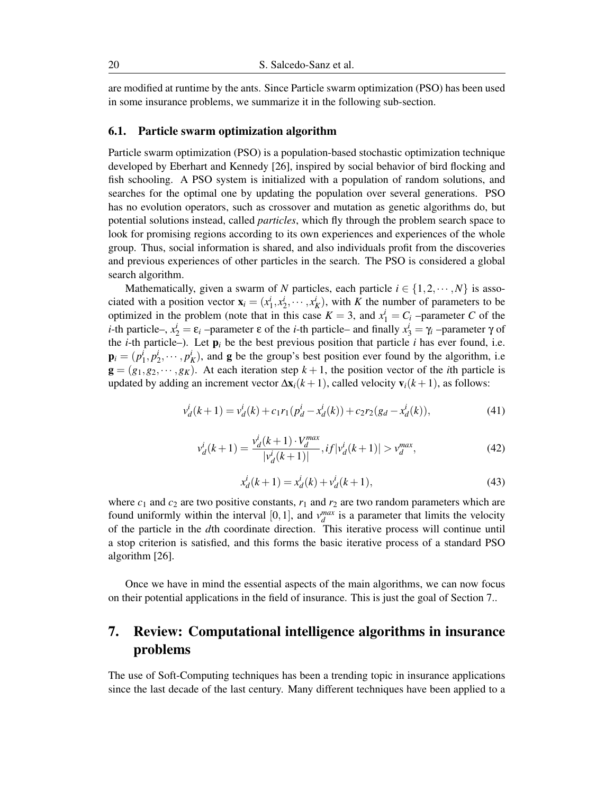are modified at runtime by the ants. Since Particle swarm optimization (PSO) has been used in some insurance problems, we summarize it in the following sub-section.

#### 6.1. Particle swarm optimization algorithm

Particle swarm optimization (PSO) is a population-based stochastic optimization technique developed by Eberhart and Kennedy [26], inspired by social behavior of bird flocking and fish schooling. A PSO system is initialized with a population of random solutions, and searches for the optimal one by updating the population over several generations. PSO has no evolution operators, such as crossover and mutation as genetic algorithms do, but potential solutions instead, called *particles*, which fly through the problem search space to look for promising regions according to its own experiences and experiences of the whole group. Thus, social information is shared, and also individuals profit from the discoveries and previous experiences of other particles in the search. The PSO is considered a global search algorithm.

Mathematically, given a swarm of *N* particles, each particle  $i \in \{1, 2, \dots, N\}$  is associated with a position vector  $\mathbf{x}_i = (x_1^i, x_2^i, \dots, x_K^i)$ , with *K* the number of parameters to be optimized in the problem (note that in this case  $K = 3$ , and  $x_1^i = C_i$  –parameter *C* of the *i*-th particle–,  $x_2^i = \varepsilon_i$  –parameter  $\varepsilon$  of the *i*-th particle– and finally  $x_3^i = \gamma_i$  –parameter  $\gamma$  of the *i*-th particle–). Let  $p_i$  be the best previous position that particle *i* has ever found, i.e.  $\mathbf{p}_i = (p_1^i, p_2^i, \dots, p_K^i)$ , and **g** be the group's best position ever found by the algorithm, i.e  $g = (g_1, g_2, \dots, g_K)$ . At each iteration step  $k + 1$ , the position vector of the *i*th particle is updated by adding an increment vector  $\Delta x_i(k+1)$ , called velocity  $v_i(k+1)$ , as follows:

$$
v_d^i(k+1) = v_d^i(k) + c_1 r_1(p_d^i - x_d^i(k)) + c_2 r_2(g_d - x_d^i(k)),
$$
\n(41)

$$
v_d^i(k+1) = \frac{v_d^i(k+1) \cdot V_d^{max}}{|v_d^i(k+1)|}, if |v_d^i(k+1)| > v_d^{max},
$$
\n(42)

$$
x_d^i(k+1) = x_d^i(k) + v_d^i(k+1),
$$
\n(43)

where  $c_1$  and  $c_2$  are two positive constants,  $r_1$  and  $r_2$  are two random parameters which are found uniformly within the interval  $[0, 1]$ , and  $v_d^{max}$  is a parameter that limits the velocity of the particle in the *d*th coordinate direction. This iterative process will continue until a stop criterion is satisfied, and this forms the basic iterative process of a standard PSO algorithm [26].

Once we have in mind the essential aspects of the main algorithms, we can now focus on their potential applications in the field of insurance. This is just the goal of Section 7..

# 7. Review: Computational intelligence algorithms in insurance problems

The use of Soft-Computing techniques has been a trending topic in insurance applications since the last decade of the last century. Many different techniques have been applied to a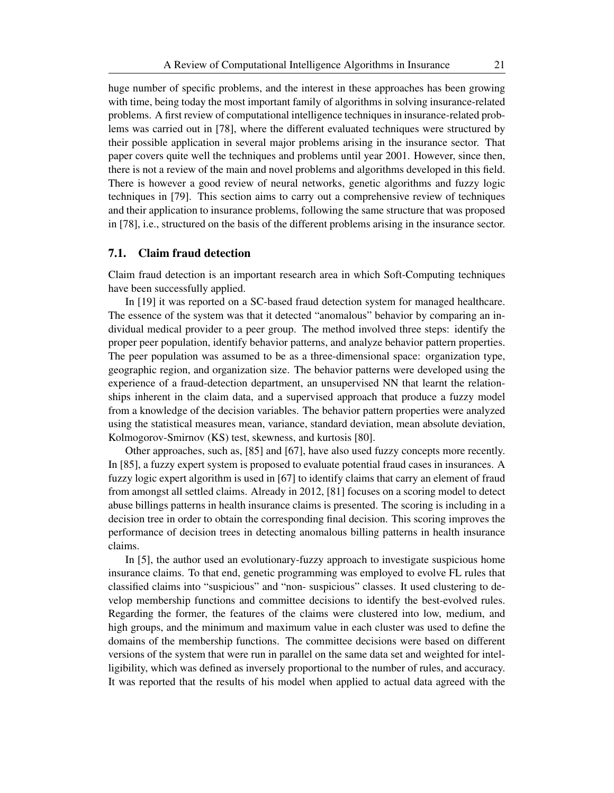huge number of specific problems, and the interest in these approaches has been growing with time, being today the most important family of algorithms in solving insurance-related problems. A first review of computational intelligence techniques in insurance-related problems was carried out in [78], where the different evaluated techniques were structured by their possible application in several major problems arising in the insurance sector. That paper covers quite well the techniques and problems until year 2001. However, since then, there is not a review of the main and novel problems and algorithms developed in this field. There is however a good review of neural networks, genetic algorithms and fuzzy logic techniques in [79]. This section aims to carry out a comprehensive review of techniques and their application to insurance problems, following the same structure that was proposed in [78], i.e., structured on the basis of the different problems arising in the insurance sector.

### 7.1. Claim fraud detection

Claim fraud detection is an important research area in which Soft-Computing techniques have been successfully applied.

In [19] it was reported on a SC-based fraud detection system for managed healthcare. The essence of the system was that it detected "anomalous" behavior by comparing an individual medical provider to a peer group. The method involved three steps: identify the proper peer population, identify behavior patterns, and analyze behavior pattern properties. The peer population was assumed to be as a three-dimensional space: organization type, geographic region, and organization size. The behavior patterns were developed using the experience of a fraud-detection department, an unsupervised NN that learnt the relationships inherent in the claim data, and a supervised approach that produce a fuzzy model from a knowledge of the decision variables. The behavior pattern properties were analyzed using the statistical measures mean, variance, standard deviation, mean absolute deviation, Kolmogorov-Smirnov (KS) test, skewness, and kurtosis [80].

Other approaches, such as, [85] and [67], have also used fuzzy concepts more recently. In [85], a fuzzy expert system is proposed to evaluate potential fraud cases in insurances. A fuzzy logic expert algorithm is used in [67] to identify claims that carry an element of fraud from amongst all settled claims. Already in 2012, [81] focuses on a scoring model to detect abuse billings patterns in health insurance claims is presented. The scoring is including in a decision tree in order to obtain the corresponding final decision. This scoring improves the performance of decision trees in detecting anomalous billing patterns in health insurance claims.

In [5], the author used an evolutionary-fuzzy approach to investigate suspicious home insurance claims. To that end, genetic programming was employed to evolve FL rules that classified claims into "suspicious" and "non- suspicious" classes. It used clustering to develop membership functions and committee decisions to identify the best-evolved rules. Regarding the former, the features of the claims were clustered into low, medium, and high groups, and the minimum and maximum value in each cluster was used to define the domains of the membership functions. The committee decisions were based on different versions of the system that were run in parallel on the same data set and weighted for intelligibility, which was defined as inversely proportional to the number of rules, and accuracy. It was reported that the results of his model when applied to actual data agreed with the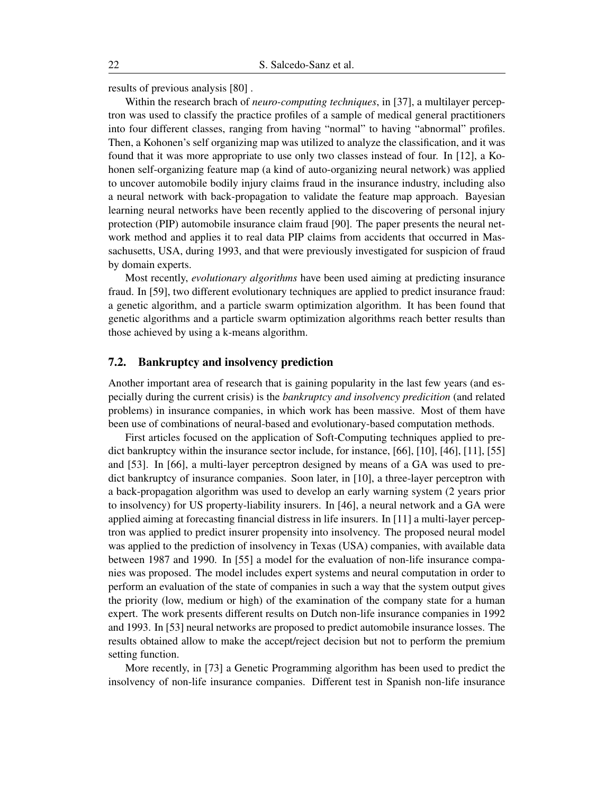results of previous analysis [80] .

Within the research brach of *neuro-computing techniques*, in [37], a multilayer perceptron was used to classify the practice profiles of a sample of medical general practitioners into four different classes, ranging from having "normal" to having "abnormal" profiles. Then, a Kohonen's self organizing map was utilized to analyze the classification, and it was found that it was more appropriate to use only two classes instead of four. In [12], a Kohonen self-organizing feature map (a kind of auto-organizing neural network) was applied to uncover automobile bodily injury claims fraud in the insurance industry, including also a neural network with back-propagation to validate the feature map approach. Bayesian learning neural networks have been recently applied to the discovering of personal injury protection (PIP) automobile insurance claim fraud [90]. The paper presents the neural network method and applies it to real data PIP claims from accidents that occurred in Massachusetts, USA, during 1993, and that were previously investigated for suspicion of fraud by domain experts.

Most recently, *evolutionary algorithms* have been used aiming at predicting insurance fraud. In [59], two different evolutionary techniques are applied to predict insurance fraud: a genetic algorithm, and a particle swarm optimization algorithm. It has been found that genetic algorithms and a particle swarm optimization algorithms reach better results than those achieved by using a k-means algorithm.

### 7.2. Bankruptcy and insolvency prediction

Another important area of research that is gaining popularity in the last few years (and especially during the current crisis) is the *bankruptcy and insolvency predicition* (and related problems) in insurance companies, in which work has been massive. Most of them have been use of combinations of neural-based and evolutionary-based computation methods.

First articles focused on the application of Soft-Computing techniques applied to predict bankruptcy within the insurance sector include, for instance, [66], [10], [46], [11], [55] and [53]. In [66], a multi-layer perceptron designed by means of a GA was used to predict bankruptcy of insurance companies. Soon later, in [10], a three-layer perceptron with a back-propagation algorithm was used to develop an early warning system (2 years prior to insolvency) for US property-liability insurers. In [46], a neural network and a GA were applied aiming at forecasting financial distress in life insurers. In [11] a multi-layer perceptron was applied to predict insurer propensity into insolvency. The proposed neural model was applied to the prediction of insolvency in Texas (USA) companies, with available data between 1987 and 1990. In [55] a model for the evaluation of non-life insurance companies was proposed. The model includes expert systems and neural computation in order to perform an evaluation of the state of companies in such a way that the system output gives the priority (low, medium or high) of the examination of the company state for a human expert. The work presents different results on Dutch non-life insurance companies in 1992 and 1993. In [53] neural networks are proposed to predict automobile insurance losses. The results obtained allow to make the accept/reject decision but not to perform the premium setting function.

More recently, in [73] a Genetic Programming algorithm has been used to predict the insolvency of non-life insurance companies. Different test in Spanish non-life insurance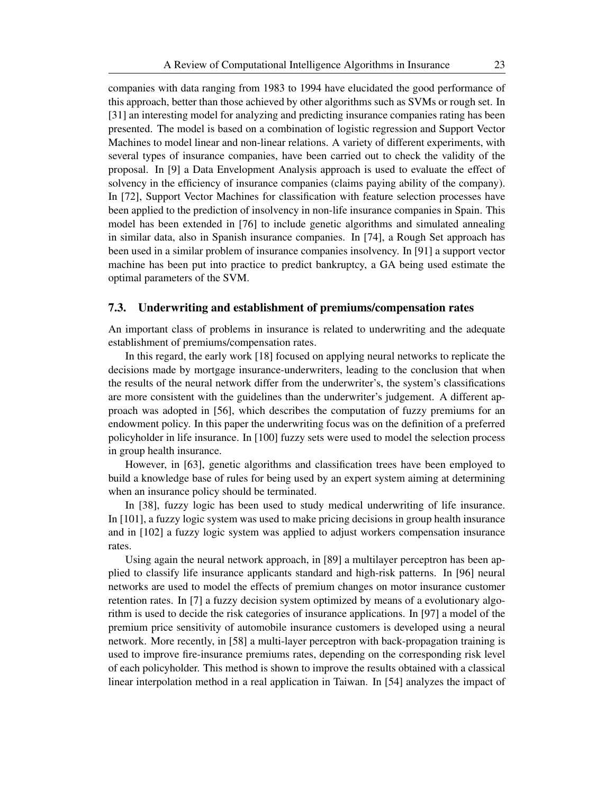companies with data ranging from 1983 to 1994 have elucidated the good performance of this approach, better than those achieved by other algorithms such as SVMs or rough set. In [31] an interesting model for analyzing and predicting insurance companies rating has been presented. The model is based on a combination of logistic regression and Support Vector Machines to model linear and non-linear relations. A variety of different experiments, with several types of insurance companies, have been carried out to check the validity of the proposal. In [9] a Data Envelopment Analysis approach is used to evaluate the effect of solvency in the efficiency of insurance companies (claims paying ability of the company). In [72], Support Vector Machines for classification with feature selection processes have been applied to the prediction of insolvency in non-life insurance companies in Spain. This model has been extended in [76] to include genetic algorithms and simulated annealing in similar data, also in Spanish insurance companies. In [74], a Rough Set approach has been used in a similar problem of insurance companies insolvency. In [91] a support vector machine has been put into practice to predict bankruptcy, a GA being used estimate the optimal parameters of the SVM.

# 7.3. Underwriting and establishment of premiums/compensation rates

An important class of problems in insurance is related to underwriting and the adequate establishment of premiums/compensation rates.

In this regard, the early work [18] focused on applying neural networks to replicate the decisions made by mortgage insurance-underwriters, leading to the conclusion that when the results of the neural network differ from the underwriter's, the system's classifications are more consistent with the guidelines than the underwriter's judgement. A different approach was adopted in [56], which describes the computation of fuzzy premiums for an endowment policy. In this paper the underwriting focus was on the definition of a preferred policyholder in life insurance. In [100] fuzzy sets were used to model the selection process in group health insurance.

However, in [63], genetic algorithms and classification trees have been employed to build a knowledge base of rules for being used by an expert system aiming at determining when an insurance policy should be terminated.

In [38], fuzzy logic has been used to study medical underwriting of life insurance. In [101], a fuzzy logic system was used to make pricing decisions in group health insurance and in [102] a fuzzy logic system was applied to adjust workers compensation insurance rates.

Using again the neural network approach, in [89] a multilayer perceptron has been applied to classify life insurance applicants standard and high-risk patterns. In [96] neural networks are used to model the effects of premium changes on motor insurance customer retention rates. In [7] a fuzzy decision system optimized by means of a evolutionary algorithm is used to decide the risk categories of insurance applications. In [97] a model of the premium price sensitivity of automobile insurance customers is developed using a neural network. More recently, in [58] a multi-layer perceptron with back-propagation training is used to improve fire-insurance premiums rates, depending on the corresponding risk level of each policyholder. This method is shown to improve the results obtained with a classical linear interpolation method in a real application in Taiwan. In [54] analyzes the impact of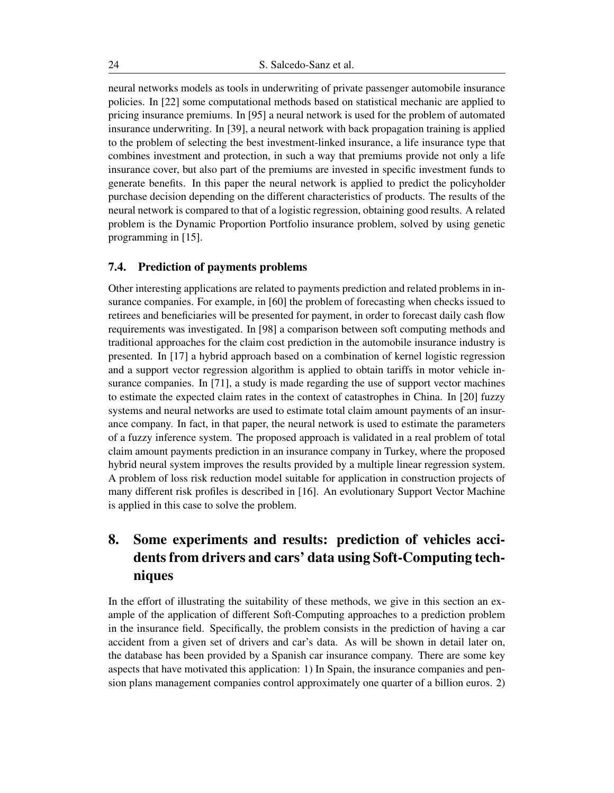neural networks models as tools in underwriting of private passenger automobile insurance policies. In [22] some computational methods based on statistical mechanic are applied to pricing insurance premiums. In [95] a neural network is used for the problem of automated insurance underwriting. In [39], a neural network with back propagation training is applied to the problem of selecting the best investment-linked insurance, a life insurance type that combines investment and protection, in such a way that premiums provide not only a life insurance cover, but also part of the premiums are invested in specific investment funds to generate benefits. In this paper the neural network is applied to predict the policyholder purchase decision depending on the different characteristics of products. The results of the neural network is compared to that of a logistic regression, obtaining good results. A related problem is the Dynamic Proportion Portfolio insurance problem, solved by using genetic programming in [15].

### 7.4. Prediction of payments problems

Other interesting applications are related to payments prediction and related problems in insurance companies. For example, in [60] the problem of forecasting when checks issued to retirees and beneficiaries will be presented for payment, in order to forecast daily cash flow requirements was investigated. In [98] a comparison between soft computing methods and traditional approaches for the claim cost prediction in the automobile insurance industry is presented. In [17] a hybrid approach based on a combination of kernel logistic regression and a support vector regression algorithm is applied to obtain tariffs in motor vehicle insurance companies. In [71], a study is made regarding the use of support vector machines to estimate the expected claim rates in the context of catastrophes in China. In [20] fuzzy systems and neural networks are used to estimate total claim amount payments of an insurance company. In fact, in that paper, the neural network is used to estimate the parameters of a fuzzy inference system. The proposed approach is validated in a real problem of total claim amount payments prediction in an insurance company in Turkey, where the proposed hybrid neural system improves the results provided by a multiple linear regression system. A problem of loss risk reduction model suitable for application in construction projects of many different risk profiles is described in [16]. An evolutionary Support Vector Machine is applied in this case to solve the problem.

# 8. Some experiments and results: prediction of vehicles accidents from drivers and cars' data using Soft-Computing techniques

In the effort of illustrating the suitability of these methods, we give in this section an example of the application of different Soft-Computing approaches to a prediction problem in the insurance field. Specifically, the problem consists in the prediction of having a car accident from a given set of drivers and car's data. As will be shown in detail later on, the database has been provided by a Spanish car insurance company. There are some key aspects that have motivated this application: 1) In Spain, the insurance companies and pension plans management companies control approximately one quarter of a billion euros. 2)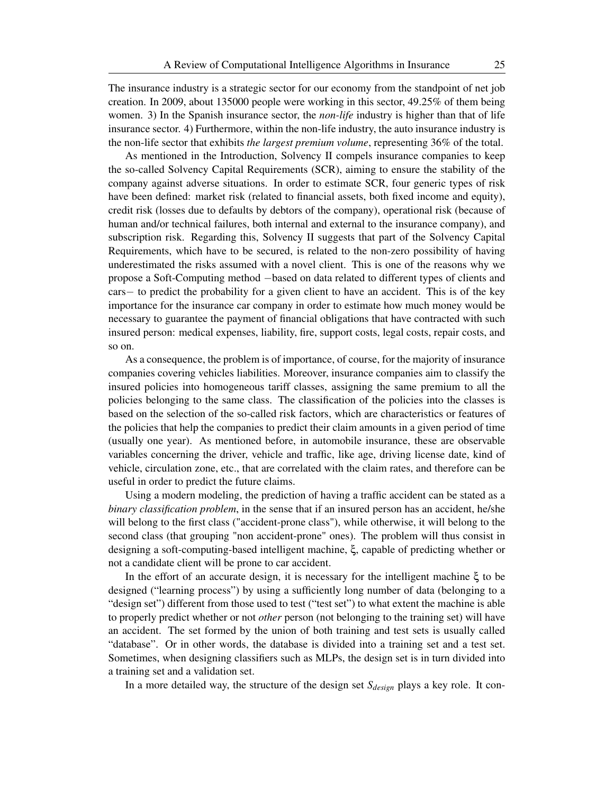The insurance industry is a strategic sector for our economy from the standpoint of net job creation. In 2009, about 135000 people were working in this sector, 49.25% of them being women. 3) In the Spanish insurance sector, the *non-life* industry is higher than that of life insurance sector. 4) Furthermore, within the non-life industry, the auto insurance industry is the non-life sector that exhibits *the largest premium volume*, representing 36% of the total.

As mentioned in the Introduction, Solvency II compels insurance companies to keep the so-called Solvency Capital Requirements (SCR), aiming to ensure the stability of the company against adverse situations. In order to estimate SCR, four generic types of risk have been defined: market risk (related to financial assets, both fixed income and equity), credit risk (losses due to defaults by debtors of the company), operational risk (because of human and/or technical failures, both internal and external to the insurance company), and subscription risk. Regarding this, Solvency II suggests that part of the Solvency Capital Requirements, which have to be secured, is related to the non-zero possibility of having underestimated the risks assumed with a novel client. This is one of the reasons why we propose a Soft-Computing method *−*based on data related to different types of clients and cars*−* to predict the probability for a given client to have an accident. This is of the key importance for the insurance car company in order to estimate how much money would be necessary to guarantee the payment of financial obligations that have contracted with such insured person: medical expenses, liability, fire, support costs, legal costs, repair costs, and so on.

As a consequence, the problem is of importance, of course, for the majority of insurance companies covering vehicles liabilities. Moreover, insurance companies aim to classify the insured policies into homogeneous tariff classes, assigning the same premium to all the policies belonging to the same class. The classification of the policies into the classes is based on the selection of the so-called risk factors, which are characteristics or features of the policies that help the companies to predict their claim amounts in a given period of time (usually one year). As mentioned before, in automobile insurance, these are observable variables concerning the driver, vehicle and traffic, like age, driving license date, kind of vehicle, circulation zone, etc., that are correlated with the claim rates, and therefore can be useful in order to predict the future claims.

Using a modern modeling, the prediction of having a traffic accident can be stated as a *binary classification problem*, in the sense that if an insured person has an accident, he/she will belong to the first class ("accident-prone class"), while otherwise, it will belong to the second class (that grouping "non accident-prone" ones). The problem will thus consist in designing a soft-computing-based intelligent machine, ξ, capable of predicting whether or not a candidate client will be prone to car accident.

In the effort of an accurate design, it is necessary for the intelligent machine ξ to be designed ("learning process") by using a sufficiently long number of data (belonging to a "design set") different from those used to test ("test set") to what extent the machine is able to properly predict whether or not *other* person (not belonging to the training set) will have an accident. The set formed by the union of both training and test sets is usually called "database". Or in other words, the database is divided into a training set and a test set. Sometimes, when designing classifiers such as MLPs, the design set is in turn divided into a training set and a validation set.

In a more detailed way, the structure of the design set *Sdesign* plays a key role. It con-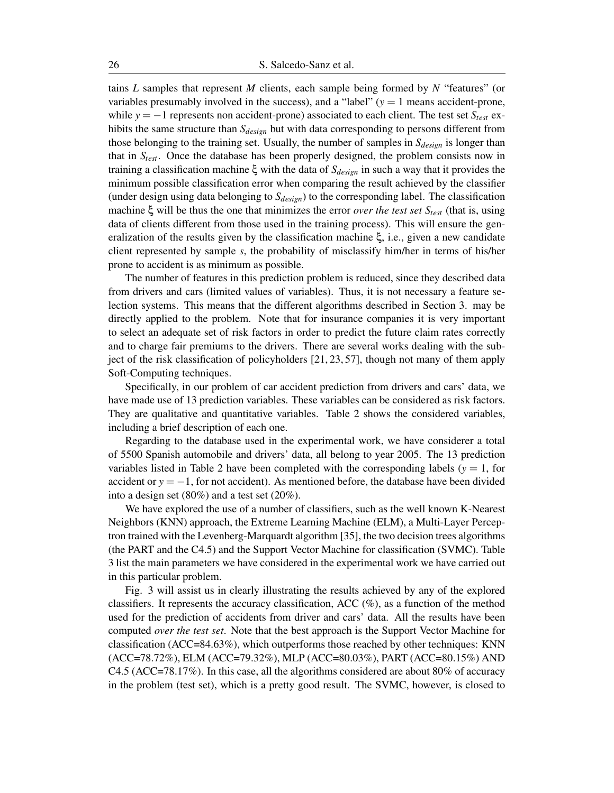tains *L* samples that represent *M* clients, each sample being formed by *N* "features" (or variables presumably involved in the success), and a "label"  $(y = 1$  means accident-prone, while *y* = *−*1 represents non accident-prone) associated to each client. The test set *Stest* exhibits the same structure than *Sdesign* but with data corresponding to persons different from those belonging to the training set. Usually, the number of samples in *Sdesign* is longer than that in *Stest*. Once the database has been properly designed, the problem consists now in training a classification machine ξ with the data of *Sdesign* in such a way that it provides the minimum possible classification error when comparing the result achieved by the classifier (under design using data belonging to *Sdesign*) to the corresponding label. The classification machine ξ will be thus the one that minimizes the error *over the test set Stest* (that is, using data of clients different from those used in the training process). This will ensure the generalization of the results given by the classification machine ξ, i.e., given a new candidate client represented by sample *s*, the probability of misclassify him/her in terms of his/her prone to accident is as minimum as possible.

The number of features in this prediction problem is reduced, since they described data from drivers and cars (limited values of variables). Thus, it is not necessary a feature selection systems. This means that the different algorithms described in Section 3. may be directly applied to the problem. Note that for insurance companies it is very important to select an adequate set of risk factors in order to predict the future claim rates correctly and to charge fair premiums to the drivers. There are several works dealing with the subject of the risk classification of policyholders [21, 23, 57], though not many of them apply Soft-Computing techniques.

Specifically, in our problem of car accident prediction from drivers and cars' data, we have made use of 13 prediction variables. These variables can be considered as risk factors. They are qualitative and quantitative variables. Table 2 shows the considered variables, including a brief description of each one.

Regarding to the database used in the experimental work, we have considerer a total of 5500 Spanish automobile and drivers' data, all belong to year 2005. The 13 prediction variables listed in Table 2 have been completed with the corresponding labels ( $y = 1$ , for accident or  $y = -1$ , for not accident). As mentioned before, the database have been divided into a design set (80%) and a test set (20%).

We have explored the use of a number of classifiers, such as the well known K-Nearest Neighbors (KNN) approach, the Extreme Learning Machine (ELM), a Multi-Layer Perceptron trained with the Levenberg-Marquardt algorithm [35], the two decision trees algorithms (the PART and the C4.5) and the Support Vector Machine for classification (SVMC). Table 3 list the main parameters we have considered in the experimental work we have carried out in this particular problem.

Fig. 3 will assist us in clearly illustrating the results achieved by any of the explored classifiers. It represents the accuracy classification, ACC  $(\%)$ , as a function of the method used for the prediction of accidents from driver and cars' data. All the results have been computed *over the test set*. Note that the best approach is the Support Vector Machine for classification (ACC=84.63%), which outperforms those reached by other techniques: KNN (ACC=78.72%), ELM (ACC=79.32%), MLP (ACC=80.03%), PART (ACC=80.15%) AND C4.5 (ACC=78.17%). In this case, all the algorithms considered are about 80% of accuracy in the problem (test set), which is a pretty good result. The SVMC, however, is closed to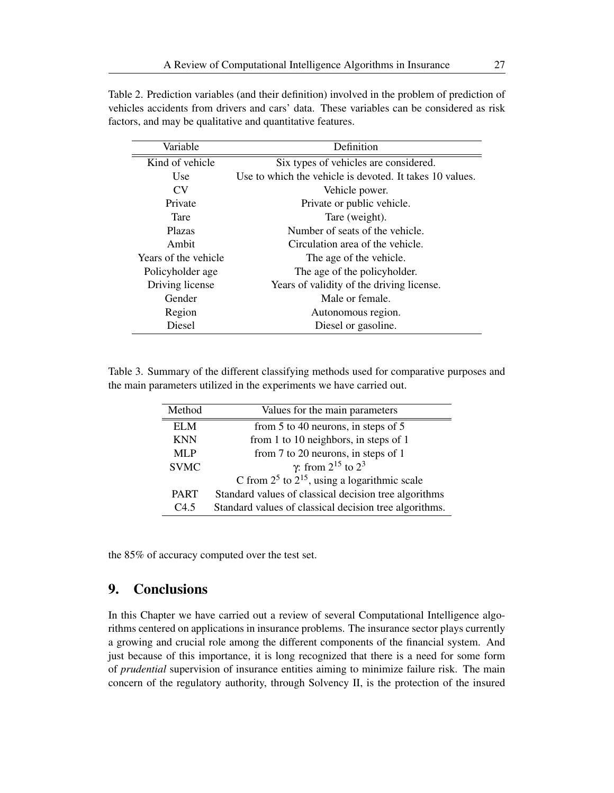| Table 2. Prediction variables (and their definition) involved in the problem of prediction of |  |
|-----------------------------------------------------------------------------------------------|--|
| vehicles accidents from drivers and cars' data. These variables can be considered as risk     |  |
| factors, and may be qualitative and quantitative features.                                    |  |

| Variable             | Definition                                               |
|----------------------|----------------------------------------------------------|
| Kind of vehicle      | Six types of vehicles are considered.                    |
| <b>Use</b>           | Use to which the vehicle is devoted. It takes 10 values. |
| CV <sub></sub>       | Vehicle power.                                           |
| Private              | Private or public vehicle.                               |
| Tare                 | Tare (weight).                                           |
| <b>Plazas</b>        | Number of seats of the vehicle.                          |
| Ambit                | Circulation area of the vehicle.                         |
| Years of the vehicle | The age of the vehicle.                                  |
| Policyholder age     | The age of the policyholder.                             |
| Driving license      | Years of validity of the driving license.                |
| Gender               | Male or female.                                          |
| Region               | Autonomous region.                                       |
| <b>Diesel</b>        | Diesel or gasoline.                                      |

Table 3. Summary of the different classifying methods used for comparative purposes and the main parameters utilized in the experiments we have carried out.

| Method      | Values for the main parameters                         |
|-------------|--------------------------------------------------------|
| EL M        | from 5 to 40 neurons, in steps of 5                    |
| <b>KNN</b>  | from 1 to 10 neighbors, in steps of 1                  |
| MLP         | from 7 to 20 neurons, in steps of 1                    |
| <b>SVMC</b> | $\gamma$ : from 2 <sup>15</sup> to 2 <sup>3</sup>      |
|             | C from $2^5$ to $2^{15}$ , using a logarithmic scale   |
| <b>PART</b> | Standard values of classical decision tree algorithms  |
| $C4$ 5      | Standard values of classical decision tree algorithms. |

the 85% of accuracy computed over the test set.

# 9. Conclusions

In this Chapter we have carried out a review of several Computational Intelligence algorithms centered on applications in insurance problems. The insurance sector plays currently a growing and crucial role among the different components of the financial system. And just because of this importance, it is long recognized that there is a need for some form of *prudential* supervision of insurance entities aiming to minimize failure risk. The main concern of the regulatory authority, through Solvency II, is the protection of the insured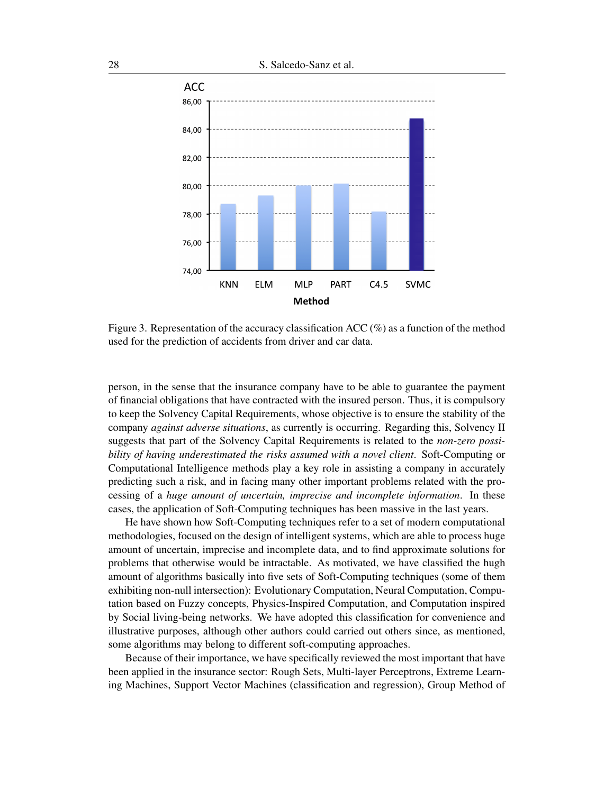

Figure 3. Representation of the accuracy classification ACC (%) as a function of the method used for the prediction of accidents from driver and car data.

person, in the sense that the insurance company have to be able to guarantee the payment of financial obligations that have contracted with the insured person. Thus, it is compulsory to keep the Solvency Capital Requirements, whose objective is to ensure the stability of the company *against adverse situations*, as currently is occurring. Regarding this, Solvency II suggests that part of the Solvency Capital Requirements is related to the *non-zero possibility of having underestimated the risks assumed with a novel client*. Soft-Computing or Computational Intelligence methods play a key role in assisting a company in accurately predicting such a risk, and in facing many other important problems related with the processing of a *huge amount of uncertain, imprecise and incomplete information*. In these cases, the application of Soft-Computing techniques has been massive in the last years.

He have shown how Soft-Computing techniques refer to a set of modern computational methodologies, focused on the design of intelligent systems, which are able to process huge amount of uncertain, imprecise and incomplete data, and to find approximate solutions for problems that otherwise would be intractable. As motivated, we have classified the hugh amount of algorithms basically into five sets of Soft-Computing techniques (some of them exhibiting non-null intersection): Evolutionary Computation, Neural Computation, Computation based on Fuzzy concepts, Physics-Inspired Computation, and Computation inspired by Social living-being networks. We have adopted this classification for convenience and illustrative purposes, although other authors could carried out others since, as mentioned, some algorithms may belong to different soft-computing approaches.

Because of their importance, we have specifically reviewed the most important that have been applied in the insurance sector: Rough Sets, Multi-layer Perceptrons, Extreme Learning Machines, Support Vector Machines (classification and regression), Group Method of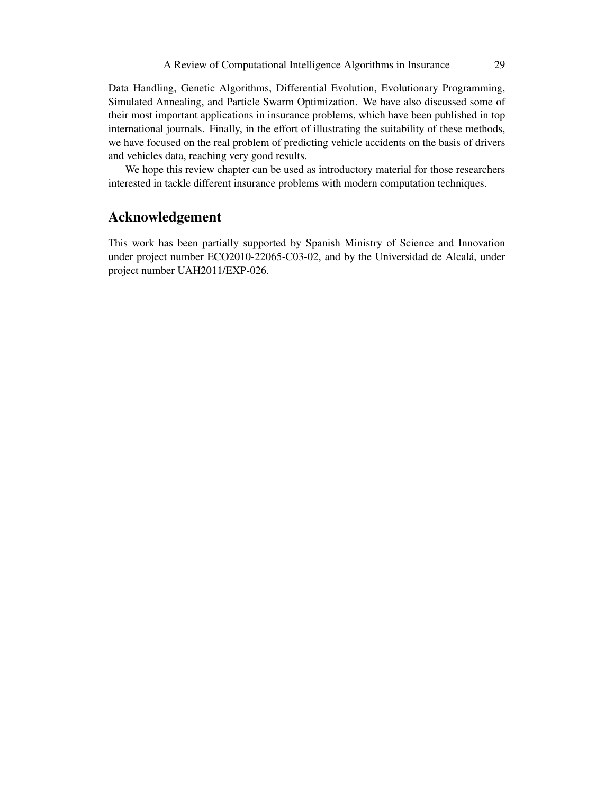Data Handling, Genetic Algorithms, Differential Evolution, Evolutionary Programming, Simulated Annealing, and Particle Swarm Optimization. We have also discussed some of their most important applications in insurance problems, which have been published in top international journals. Finally, in the effort of illustrating the suitability of these methods, we have focused on the real problem of predicting vehicle accidents on the basis of drivers and vehicles data, reaching very good results.

We hope this review chapter can be used as introductory material for those researchers interested in tackle different insurance problems with modern computation techniques.

# Acknowledgement

This work has been partially supported by Spanish Ministry of Science and Innovation under project number ECO2010-22065-C03-02, and by the Universidad de Alcalá, under project number UAH2011/EXP-026.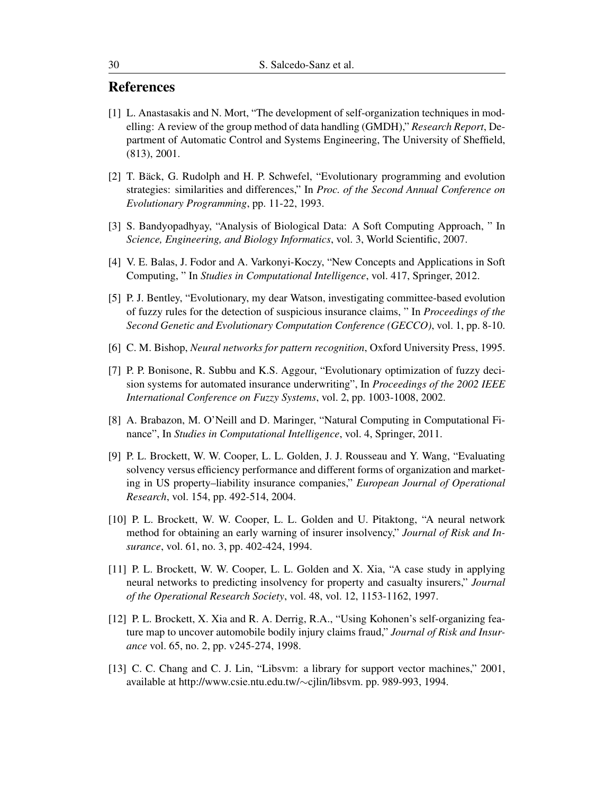# **References**

- [1] L. Anastasakis and N. Mort, "The development of self-organization techniques in modelling: A review of the group method of data handling (GMDH)," *Research Report*, Department of Automatic Control and Systems Engineering, The University of Sheffield, (813), 2001.
- [2] T. Bäck, G. Rudolph and H. P. Schwefel, "Evolutionary programming and evolution strategies: similarities and differences," In *Proc. of the Second Annual Conference on Evolutionary Programming*, pp. 11-22, 1993.
- [3] S. Bandyopadhyay, "Analysis of Biological Data: A Soft Computing Approach, " In *Science, Engineering, and Biology Informatics*, vol. 3, World Scientific, 2007.
- [4] V. E. Balas, J. Fodor and A. Varkonyi-Koczy, "New Concepts and Applications in Soft Computing, " In *Studies in Computational Intelligence*, vol. 417, Springer, 2012.
- [5] P. J. Bentley, "Evolutionary, my dear Watson, investigating committee-based evolution of fuzzy rules for the detection of suspicious insurance claims, " In *Proceedings of the Second Genetic and Evolutionary Computation Conference (GECCO)*, vol. 1, pp. 8-10.
- [6] C. M. Bishop, *Neural networks for pattern recognition*, Oxford University Press, 1995.
- [7] P. P. Bonisone, R. Subbu and K.S. Aggour, "Evolutionary optimization of fuzzy decision systems for automated insurance underwriting", In *Proceedings of the 2002 IEEE International Conference on Fuzzy Systems*, vol. 2, pp. 1003-1008, 2002.
- [8] A. Brabazon, M. O'Neill and D. Maringer, "Natural Computing in Computational Finance", In *Studies in Computational Intelligence*, vol. 4, Springer, 2011.
- [9] P. L. Brockett, W. W. Cooper, L. L. Golden, J. J. Rousseau and Y. Wang, "Evaluating solvency versus efficiency performance and different forms of organization and marketing in US property–liability insurance companies," *European Journal of Operational Research*, vol. 154, pp. 492-514, 2004.
- [10] P. L. Brockett, W. W. Cooper, L. L. Golden and U. Pitaktong, "A neural network method for obtaining an early warning of insurer insolvency," *Journal of Risk and Insurance*, vol. 61, no. 3, pp. 402-424, 1994.
- [11] P. L. Brockett, W. W. Cooper, L. L. Golden and X. Xia, "A case study in applying neural networks to predicting insolvency for property and casualty insurers," *Journal of the Operational Research Society*, vol. 48, vol. 12, 1153-1162, 1997.
- [12] P. L. Brockett, X. Xia and R. A. Derrig, R.A., "Using Kohonen's self-organizing feature map to uncover automobile bodily injury claims fraud," *Journal of Risk and Insurance* vol. 65, no. 2, pp. v245-274, 1998.
- [13] C. C. Chang and C. J. Lin, "Libsvm: a library for support vector machines," 2001, available at http://www.csie.ntu.edu.tw/*∼*cjlin/libsvm. pp. 989-993, 1994.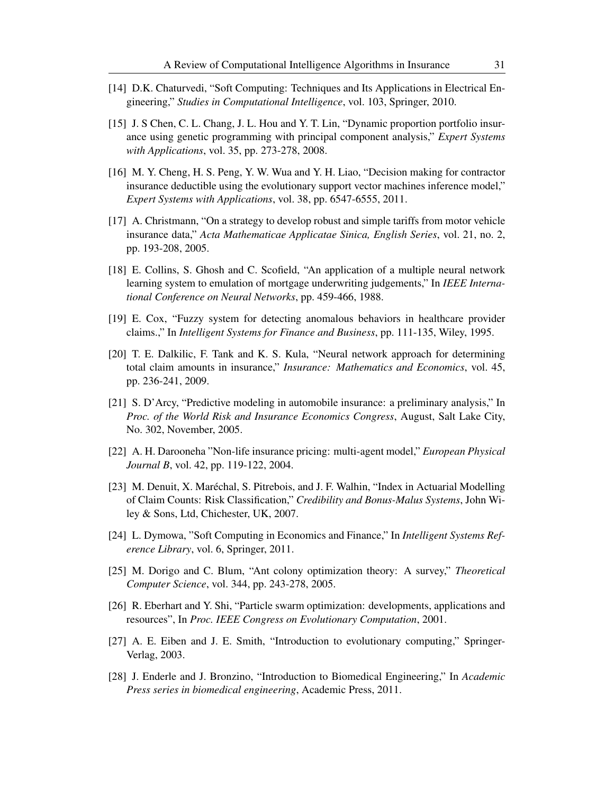- [14] D.K. Chaturvedi, "Soft Computing: Techniques and Its Applications in Electrical Engineering," *Studies in Computational Intelligence*, vol. 103, Springer, 2010.
- [15] J. S Chen, C. L. Chang, J. L. Hou and Y. T. Lin, "Dynamic proportion portfolio insurance using genetic programming with principal component analysis," *Expert Systems with Applications*, vol. 35, pp. 273-278, 2008.
- [16] M. Y. Cheng, H. S. Peng, Y. W. Wua and Y. H. Liao, "Decision making for contractor insurance deductible using the evolutionary support vector machines inference model," *Expert Systems with Applications*, vol. 38, pp. 6547-6555, 2011.
- [17] A. Christmann, "On a strategy to develop robust and simple tariffs from motor vehicle insurance data," *Acta Mathematicae Applicatae Sinica, English Series*, vol. 21, no. 2, pp. 193-208, 2005.
- [18] E. Collins, S. Ghosh and C. Scofield, "An application of a multiple neural network learning system to emulation of mortgage underwriting judgements," In *IEEE International Conference on Neural Networks*, pp. 459-466, 1988.
- [19] E. Cox, "Fuzzy system for detecting anomalous behaviors in healthcare provider claims.," In *Intelligent Systems for Finance and Business*, pp. 111-135, Wiley, 1995.
- [20] T. E. Dalkilic, F. Tank and K. S. Kula, "Neural network approach for determining total claim amounts in insurance," *Insurance: Mathematics and Economics*, vol. 45, pp. 236-241, 2009.
- [21] S. D'Arcy, "Predictive modeling in automobile insurance: a preliminary analysis," In *Proc. of the World Risk and Insurance Economics Congress*, August, Salt Lake City, No. 302, November, 2005.
- [22] A. H. Darooneha "Non-life insurance pricing: multi-agent model," *European Physical Journal B*, vol. 42, pp. 119-122, 2004.
- [23] M. Denuit, X. Maréchal, S. Pitrebois, and J. F. Walhin, "Index in Actuarial Modelling of Claim Counts: Risk Classification," *Credibility and Bonus-Malus Systems*, John Wiley & Sons, Ltd, Chichester, UK, 2007.
- [24] L. Dymowa, "Soft Computing in Economics and Finance," In *Intelligent Systems Reference Library*, vol. 6, Springer, 2011.
- [25] M. Dorigo and C. Blum, "Ant colony optimization theory: A survey," *Theoretical Computer Science*, vol. 344, pp. 243-278, 2005.
- [26] R. Eberhart and Y. Shi, "Particle swarm optimization: developments, applications and resources", In *Proc. IEEE Congress on Evolutionary Computation*, 2001.
- [27] A. E. Eiben and J. E. Smith, "Introduction to evolutionary computing," Springer-Verlag, 2003.
- [28] J. Enderle and J. Bronzino, "Introduction to Biomedical Engineering," In *Academic Press series in biomedical engineering*, Academic Press, 2011.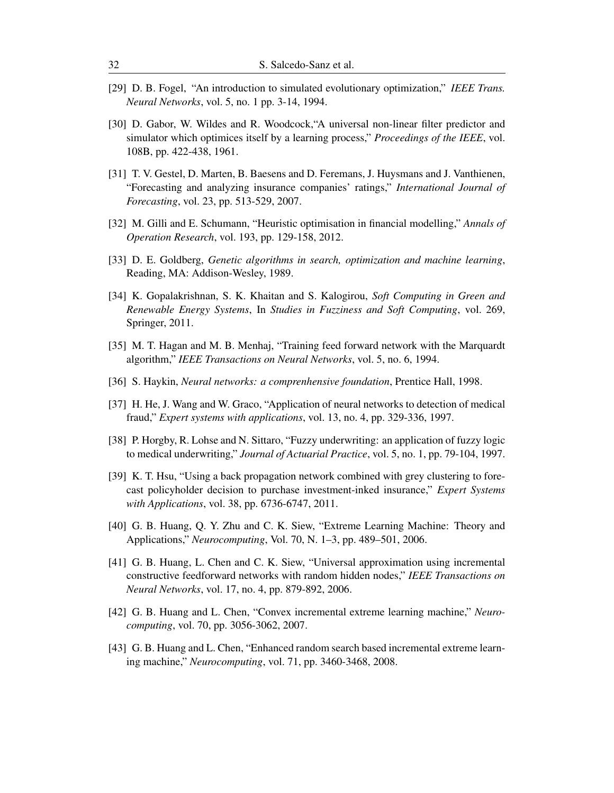- [29] D. B. Fogel, "An introduction to simulated evolutionary optimization," *IEEE Trans. Neural Networks*, vol. 5, no. 1 pp. 3-14, 1994.
- [30] D. Gabor, W. Wildes and R. Woodcock,"A universal non-linear filter predictor and simulator which optimices itself by a learning process," *Proceedings of the IEEE*, vol. 108B, pp. 422-438, 1961.
- [31] T. V. Gestel, D. Marten, B. Baesens and D. Feremans, J. Huysmans and J. Vanthienen, "Forecasting and analyzing insurance companies' ratings," *International Journal of Forecasting*, vol. 23, pp. 513-529, 2007.
- [32] M. Gilli and E. Schumann, "Heuristic optimisation in financial modelling," *Annals of Operation Research*, vol. 193, pp. 129-158, 2012.
- [33] D. E. Goldberg, *Genetic algorithms in search, optimization and machine learning*, Reading, MA: Addison-Wesley, 1989.
- [34] K. Gopalakrishnan, S. K. Khaitan and S. Kalogirou, *Soft Computing in Green and Renewable Energy Systems*, In *Studies in Fuzziness and Soft Computing*, vol. 269, Springer, 2011.
- [35] M. T. Hagan and M. B. Menhaj, "Training feed forward network with the Marquardt algorithm," *IEEE Transactions on Neural Networks*, vol. 5, no. 6, 1994.
- [36] S. Haykin, *Neural networks: a comprenhensive foundation*, Prentice Hall, 1998.
- [37] H. He, J. Wang and W. Graco, "Application of neural networks to detection of medical fraud," *Expert systems with applications*, vol. 13, no. 4, pp. 329-336, 1997.
- [38] P. Horgby, R. Lohse and N. Sittaro, "Fuzzy underwriting: an application of fuzzy logic to medical underwriting," *Journal of Actuarial Practice*, vol. 5, no. 1, pp. 79-104, 1997.
- [39] K. T. Hsu, "Using a back propagation network combined with grey clustering to forecast policyholder decision to purchase investment-inked insurance," *Expert Systems with Applications*, vol. 38, pp. 6736-6747, 2011.
- [40] G. B. Huang, Q. Y. Zhu and C. K. Siew, "Extreme Learning Machine: Theory and Applications," *Neurocomputing*, Vol. 70, N. 1–3, pp. 489–501, 2006.
- [41] G. B. Huang, L. Chen and C. K. Siew, "Universal approximation using incremental constructive feedforward networks with random hidden nodes," *IEEE Transactions on Neural Networks*, vol. 17, no. 4, pp. 879-892, 2006.
- [42] G. B. Huang and L. Chen, "Convex incremental extreme learning machine," *Neurocomputing*, vol. 70, pp. 3056-3062, 2007.
- [43] G. B. Huang and L. Chen, "Enhanced random search based incremental extreme learning machine," *Neurocomputing*, vol. 71, pp. 3460-3468, 2008.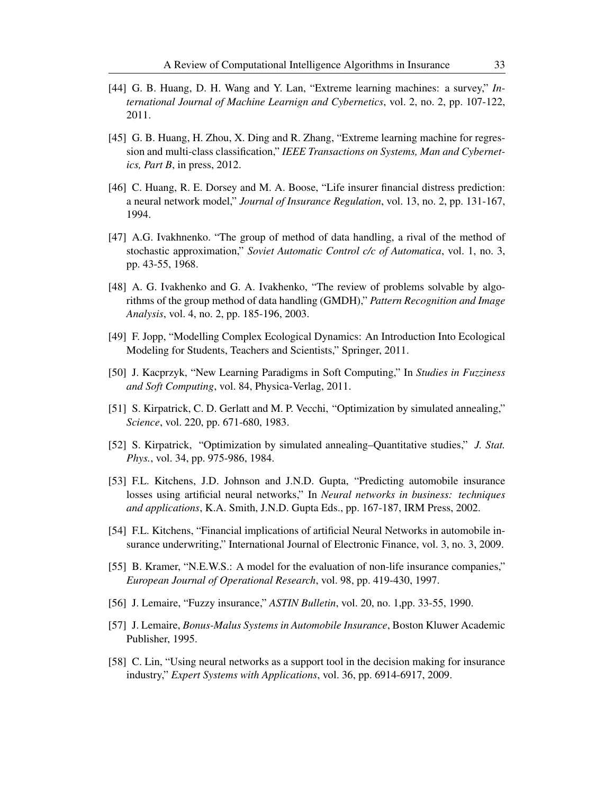- [44] G. B. Huang, D. H. Wang and Y. Lan, "Extreme learning machines: a survey," *International Journal of Machine Learnign and Cybernetics*, vol. 2, no. 2, pp. 107-122, 2011.
- [45] G. B. Huang, H. Zhou, X. Ding and R. Zhang, "Extreme learning machine for regression and multi-class classification," *IEEE Transactions on Systems, Man and Cybernetics, Part B*, in press, 2012.
- [46] C. Huang, R. E. Dorsey and M. A. Boose, "Life insurer financial distress prediction: a neural network model," *Journal of Insurance Regulation*, vol. 13, no. 2, pp. 131-167, 1994.
- [47] A.G. Ivakhnenko. "The group of method of data handling, a rival of the method of stochastic approximation," *Soviet Automatic Control c/c of Automatica*, vol. 1, no. 3, pp. 43-55, 1968.
- [48] A. G. Ivakhenko and G. A. Ivakhenko, "The review of problems solvable by algorithms of the group method of data handling (GMDH)," *Pattern Recognition and Image Analysis*, vol. 4, no. 2, pp. 185-196, 2003.
- [49] F. Jopp, "Modelling Complex Ecological Dynamics: An Introduction Into Ecological Modeling for Students, Teachers and Scientists," Springer, 2011.
- [50] J. Kacprzyk, "New Learning Paradigms in Soft Computing," In *Studies in Fuzziness and Soft Computing*, vol. 84, Physica-Verlag, 2011.
- [51] S. Kirpatrick, C. D. Gerlatt and M. P. Vecchi, "Optimization by simulated annealing," *Science*, vol. 220, pp. 671-680, 1983.
- [52] S. Kirpatrick, "Optimization by simulated annealing–Quantitative studies," *J. Stat. Phys.*, vol. 34, pp. 975-986, 1984.
- [53] F.L. Kitchens, J.D. Johnson and J.N.D. Gupta, "Predicting automobile insurance losses using artificial neural networks," In *Neural networks in business: techniques and applications*, K.A. Smith, J.N.D. Gupta Eds., pp. 167-187, IRM Press, 2002.
- [54] F.L. Kitchens, "Financial implications of artificial Neural Networks in automobile insurance underwriting," International Journal of Electronic Finance, vol. 3, no. 3, 2009.
- [55] B. Kramer, "N.E.W.S.: A model for the evaluation of non-life insurance companies," *European Journal of Operational Research*, vol. 98, pp. 419-430, 1997.
- [56] J. Lemaire, "Fuzzy insurance," *ASTIN Bulletin*, vol. 20, no. 1,pp. 33-55, 1990.
- [57] J. Lemaire, *Bonus-Malus Systems in Automobile Insurance*, Boston Kluwer Academic Publisher, 1995.
- [58] C. Lin, "Using neural networks as a support tool in the decision making for insurance industry," *Expert Systems with Applications*, vol. 36, pp. 6914-6917, 2009.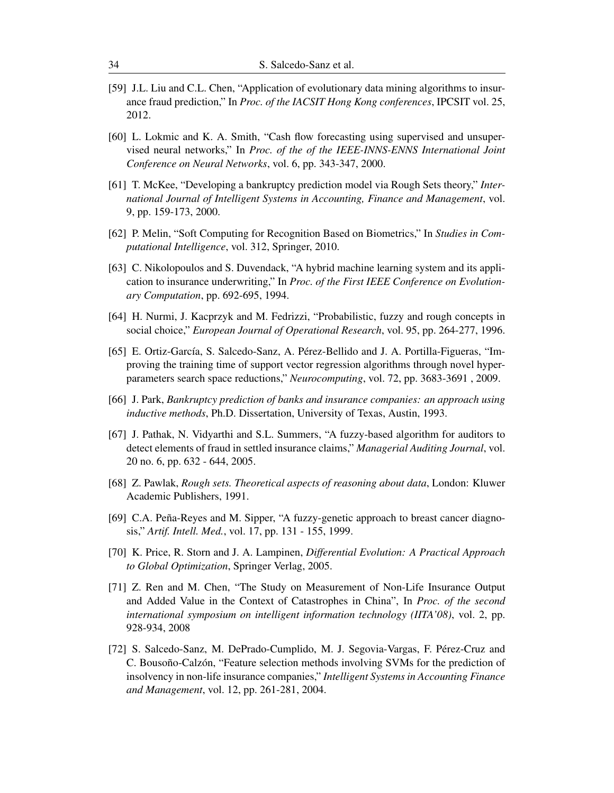- [59] J.L. Liu and C.L. Chen, "Application of evolutionary data mining algorithms to insurance fraud prediction," In *Proc. of the IACSIT Hong Kong conferences*, IPCSIT vol. 25, 2012.
- [60] L. Lokmic and K. A. Smith, "Cash flow forecasting using supervised and unsupervised neural networks," In *Proc. of the of the IEEE-INNS-ENNS International Joint Conference on Neural Networks*, vol. 6, pp. 343-347, 2000.
- [61] T. McKee, "Developing a bankruptcy prediction model via Rough Sets theory," *International Journal of Intelligent Systems in Accounting, Finance and Management*, vol. 9, pp. 159-173, 2000.
- [62] P. Melin, "Soft Computing for Recognition Based on Biometrics," In *Studies in Computational Intelligence*, vol. 312, Springer, 2010.
- [63] C. Nikolopoulos and S. Duvendack, "A hybrid machine learning system and its application to insurance underwriting," In *Proc. of the First IEEE Conference on Evolutionary Computation*, pp. 692-695, 1994.
- [64] H. Nurmi, J. Kacprzyk and M. Fedrizzi, "Probabilistic, fuzzy and rough concepts in social choice," *European Journal of Operational Research*, vol. 95, pp. 264-277, 1996.
- [65] E. Ortiz-García, S. Salcedo-Sanz, A. Pérez-Bellido and J. A. Portilla-Figueras, "Improving the training time of support vector regression algorithms through novel hyperparameters search space reductions," *Neurocomputing*, vol. 72, pp. 3683-3691 , 2009.
- [66] J. Park, *Bankruptcy prediction of banks and insurance companies: an approach using inductive methods*, Ph.D. Dissertation, University of Texas, Austin, 1993.
- [67] J. Pathak, N. Vidyarthi and S.L. Summers, "A fuzzy-based algorithm for auditors to detect elements of fraud in settled insurance claims," *Managerial Auditing Journal*, vol. 20 no. 6, pp. 632 - 644, 2005.
- [68] Z. Pawlak, *Rough sets. Theoretical aspects of reasoning about data*, London: Kluwer Academic Publishers, 1991.
- [69] C.A. Peña-Reyes and M. Sipper, "A fuzzy-genetic approach to breast cancer diagnosis," *Artif. Intell. Med.*, vol. 17, pp. 131 - 155, 1999.
- [70] K. Price, R. Storn and J. A. Lampinen, *Differential Evolution: A Practical Approach to Global Optimization*, Springer Verlag, 2005.
- [71] Z. Ren and M. Chen, "The Study on Measurement of Non-Life Insurance Output and Added Value in the Context of Catastrophes in China", In *Proc. of the second international symposium on intelligent information technology (IITA'08)*, vol. 2, pp. 928-934, 2008
- [72] S. Salcedo-Sanz, M. DePrado-Cumplido, M. J. Segovia-Vargas, F. Pérez-Cruz and C. Bousoño-Calzón, "Feature selection methods involving SVMs for the prediction of insolvency in non-life insurance companies," *Intelligent Systems in Accounting Finance and Management*, vol. 12, pp. 261-281, 2004.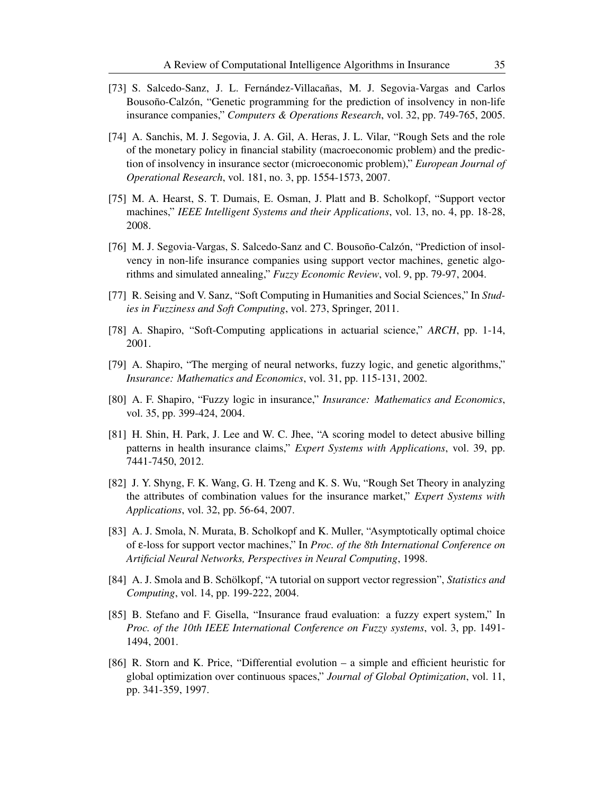- [73] S. Salcedo-Sanz, J. L. Fernández-Villacañas, M. J. Segovia-Vargas and Carlos Bousoño-Calzón, "Genetic programming for the prediction of insolvency in non-life insurance companies," *Computers & Operations Research*, vol. 32, pp. 749-765, 2005.
- [74] A. Sanchis, M. J. Segovia, J. A. Gil, A. Heras, J. L. Vilar, "Rough Sets and the role of the monetary policy in financial stability (macroeconomic problem) and the prediction of insolvency in insurance sector (microeconomic problem)," *European Journal of Operational Research*, vol. 181, no. 3, pp. 1554-1573, 2007.
- [75] M. A. Hearst, S. T. Dumais, E. Osman, J. Platt and B. Scholkopf, "Support vector machines," *IEEE Intelligent Systems and their Applications*, vol. 13, no. 4, pp. 18-28, 2008.
- [76] M. J. Segovia-Vargas, S. Salcedo-Sanz and C. Bousoño-Calzón, "Prediction of insolvency in non-life insurance companies using support vector machines, genetic algorithms and simulated annealing," *Fuzzy Economic Review*, vol. 9, pp. 79-97, 2004.
- [77] R. Seising and V. Sanz, "Soft Computing in Humanities and Social Sciences," In *Studies in Fuzziness and Soft Computing*, vol. 273, Springer, 2011.
- [78] A. Shapiro, "Soft-Computing applications in actuarial science," *ARCH*, pp. 1-14, 2001.
- [79] A. Shapiro, "The merging of neural networks, fuzzy logic, and genetic algorithms," *Insurance: Mathematics and Economics*, vol. 31, pp. 115-131, 2002.
- [80] A. F. Shapiro, "Fuzzy logic in insurance," *Insurance: Mathematics and Economics*, vol. 35, pp. 399-424, 2004.
- [81] H. Shin, H. Park, J. Lee and W. C. Jhee, "A scoring model to detect abusive billing patterns in health insurance claims," *Expert Systems with Applications*, vol. 39, pp. 7441-7450, 2012.
- [82] J. Y. Shyng, F. K. Wang, G. H. Tzeng and K. S. Wu, "Rough Set Theory in analyzing the attributes of combination values for the insurance market," *Expert Systems with Applications*, vol. 32, pp. 56-64, 2007.
- [83] A. J. Smola, N. Murata, B. Scholkopf and K. Muller, "Asymptotically optimal choice of ε-loss for support vector machines," In *Proc. of the 8th International Conference on Artificial Neural Networks, Perspectives in Neural Computing*, 1998.
- [84] A. J. Smola and B. Schölkopf, "A tutorial on support vector regression", *Statistics and Computing*, vol. 14, pp. 199-222, 2004.
- [85] B. Stefano and F. Gisella, "Insurance fraud evaluation: a fuzzy expert system," In *Proc. of the 10th IEEE International Conference on Fuzzy systems*, vol. 3, pp. 1491- 1494, 2001.
- [86] R. Storn and K. Price, "Differential evolution a simple and efficient heuristic for global optimization over continuous spaces," *Journal of Global Optimization*, vol. 11, pp. 341-359, 1997.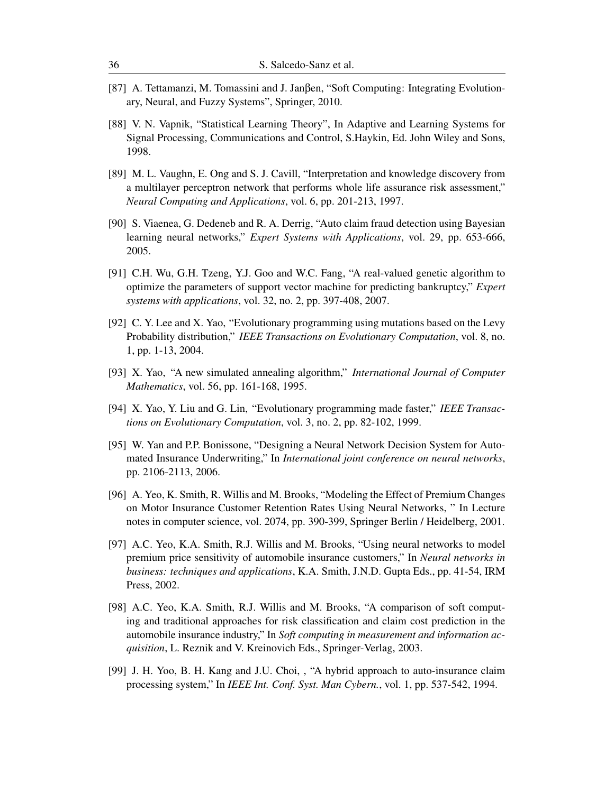- [87] A. Tettamanzi, M. Tomassini and J. Janβen, "Soft Computing: Integrating Evolutionary, Neural, and Fuzzy Systems", Springer, 2010.
- [88] V. N. Vapnik, "Statistical Learning Theory", In Adaptive and Learning Systems for Signal Processing, Communications and Control, S.Haykin, Ed. John Wiley and Sons, 1998.
- [89] M. L. Vaughn, E. Ong and S. J. Cavill, "Interpretation and knowledge discovery from a multilayer perceptron network that performs whole life assurance risk assessment," *Neural Computing and Applications*, vol. 6, pp. 201-213, 1997.
- [90] S. Viaenea, G. Dedeneb and R. A. Derrig, "Auto claim fraud detection using Bayesian learning neural networks," *Expert Systems with Applications*, vol. 29, pp. 653-666, 2005.
- [91] C.H. Wu, G.H. Tzeng, Y.J. Goo and W.C. Fang, "A real-valued genetic algorithm to optimize the parameters of support vector machine for predicting bankruptcy," *Expert systems with applications*, vol. 32, no. 2, pp. 397-408, 2007.
- [92] C. Y. Lee and X. Yao, "Evolutionary programming using mutations based on the Levy Probability distribution," *IEEE Transactions on Evolutionary Computation*, vol. 8, no. 1, pp. 1-13, 2004.
- [93] X. Yao, "A new simulated annealing algorithm," *International Journal of Computer Mathematics*, vol. 56, pp. 161-168, 1995.
- [94] X. Yao, Y. Liu and G. Lin, "Evolutionary programming made faster," *IEEE Transactions on Evolutionary Computation*, vol. 3, no. 2, pp. 82-102, 1999.
- [95] W. Yan and P.P. Bonissone, "Designing a Neural Network Decision System for Automated Insurance Underwriting," In *International joint conference on neural networks*, pp. 2106-2113, 2006.
- [96] A. Yeo, K. Smith, R. Willis and M. Brooks, "Modeling the Effect of Premium Changes on Motor Insurance Customer Retention Rates Using Neural Networks, " In Lecture notes in computer science, vol. 2074, pp. 390-399, Springer Berlin / Heidelberg, 2001.
- [97] A.C. Yeo, K.A. Smith, R.J. Willis and M. Brooks, "Using neural networks to model premium price sensitivity of automobile insurance customers," In *Neural networks in business: techniques and applications*, K.A. Smith, J.N.D. Gupta Eds., pp. 41-54, IRM Press, 2002.
- [98] A.C. Yeo, K.A. Smith, R.J. Willis and M. Brooks, "A comparison of soft computing and traditional approaches for risk classification and claim cost prediction in the automobile insurance industry," In *Soft computing in measurement and information acquisition*, L. Reznik and V. Kreinovich Eds., Springer-Verlag, 2003.
- [99] J. H. Yoo, B. H. Kang and J.U. Choi, , "A hybrid approach to auto-insurance claim processing system," In *IEEE Int. Conf. Syst. Man Cybern.*, vol. 1, pp. 537-542, 1994.